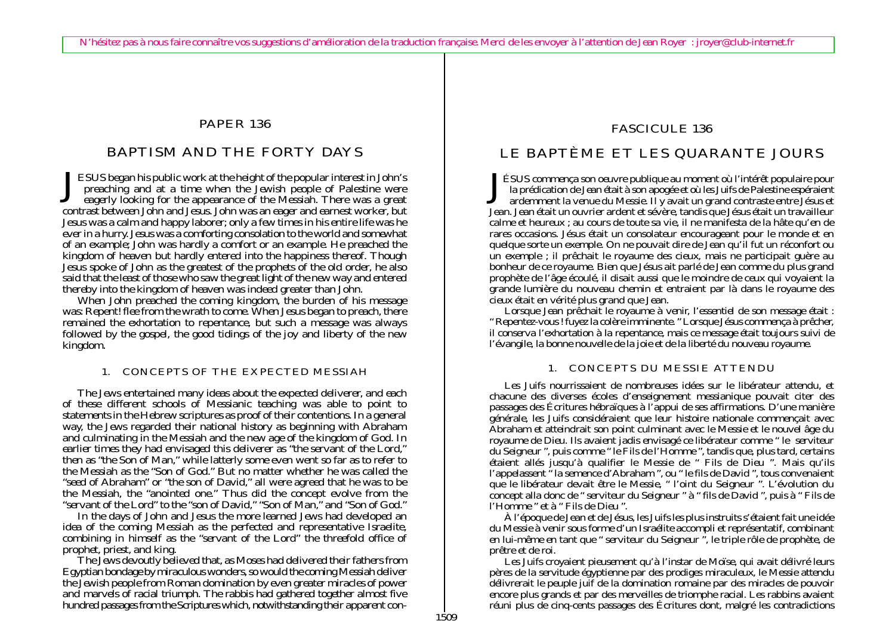# PAPER 136

# BAPTISM AND THE FORTY DAYS

ESUS began his public work at the height of the popular interest in John's preaching and at a time when the Jewish people of Palestine were preaching and at a time when the Jewish people of Palestine were eagerly looking for the appearance of the Messiah. There was a great contrast between John and Jesus. John was an eager and earnest worker, but Jesus was a calm and happy laborer; only a few times in his entire life was he ever in a hurry. Jesus was a comforting consolation to the world and somewhat of an example; John was hardly a comfort or an example. He preached the kingdom of heaven but hardly entered into the happiness thereof. Though Jesus spoke of John as the greatest of the prophets of the old order, he also said that the least of those who saw the great light of the new way and entered thereby into the kingdom of heaven was indeed greater than John.

When John preached the coming kingdom, the burden of his message was: Repent! flee from the wrath to come. When Jesus began to preach, there remained the exhortation to repentance, but such a message was always followed by the gospel, the good tidings of the joy and liberty of the new kingdom.

# 1. CONCEPTS OF THE EXPECTED MESSIAH

The Jews entertained many ideas about the expected deliverer, and each of these different schools of Messianic teaching was able to point to statements in the Hebrew scriptures as proof of their contentions. In a general way, the Jews regarded their national history as beginning with Abraham and culminating in the Messiah and the new age of the kingdom of God. In earlier times they had envisaged this deliverer as "the servant of the Lord," then as "the Son of Man," while latterly some even went so far as to refer to the Messiah as the "Son of God." But no matter whether he was called the "seed of Abraham" or "the son of David," all were agreed that he was to be the Messiah, the "anointed one." Thus did the concept evolve from the "servant of the Lord" to the "son of David," "Son of Man," and "Son of God."

In the days of John and Jesus the more learned Jews had developed an idea of the coming Messiah as the perfected and representative Israelite, combining in himself as the "servant of the Lord" the threefold office of prophet, priest, and king.

The Jews devoutly believed that, as Moses had delivered their fathers from Egyptian bondage by miraculous wonders, so would the coming Messiah deliver the Jewish people from Roman domination by even greater miracles of power and marvels of racial triumph. The rabbis had gathered together almost five hundred passages from the Scriptures which, notwithstanding their apparent con-

# FASCICULE 136

# LE BAPTÈME ET LES QUARANTE JOURS

LESUS commença son oeuvre publique au moment où l'intérêt populaire pour la prédication de Jean était à son apogée et où les Juifs de Palestine espéraient la prédication de Jean était à son apogée et où les Juifs de Palestine espéraient ardemment la venue du Messie. Il y avait un grand contraste entre Jésus et Jean. Jean était un ouvrier ardent et sévère, tandis que Jésus était un travailleur calme et heureux ; au cours de toute sa vie, il ne manifesta de la hâte qu'en de rares occasions. Jésus était un consolateur encourageant pour le monde et en quelque sorte un exemple. On ne pouvait dire de Jean qu'il fut un réconfort ou un exemple ; il prêchait le royaume des cieux, mais ne participait guère au bonheur de ce royaume. Bien que Jésus ait parlé de Jean comme du plus grand prophète de l'âge écoulé, il disait aussi que le moindre de ceux qui voyaient la grande lumière du nouveau chemin et entraient par là dans le royaume des cieux était en vérité plus grand que Jean.

Lorsque Jean prêchait le royaume à venir, l'essentiel de son message était : " Repentez-vous ! fuyez la colère imminente. " Lorsque Jésus commença à prêcher, il conserva l'exhortation à la repentance, mais ce message était toujours suivi de l'évangile, la bonne nouvelle de la joie et de la liberté du nouveau royaume.

# 1. CONCEPTS DU MESSIE ATTENDU

Les Juifs nourrissaient de nombreuses idées sur le libérateur attendu, et chacune des diverses écoles d'enseignement messianique pouvait citer des passages des Écritures hébraïques à l'appui de ses affirmations. D'une manière générale, les Juifs considéraient que leur histoire nationale commençait avec Abraham et atteindrait son point culminant avec le Messie et le nouvel âge du royaume de Dieu. Ils avaient jadis envisagé ce libérateur comme " le serviteur du Seigneur ", puis comme " le Fils de l'Homme ", tandis que, plus tard, certains étaient allés jusqu'à qualifier le Messie de " Fils de Dieu ". Mais qu'ils l'appelassent " la semence d'Abraham ", ou " le fils de David ", tous convenaient que le libérateur devait être le Messie, " l'oint du Seigneur ". L'évolution du concept alla donc de " serviteur du Seigneur " à " fils de David ", puis à " Fils de l'Homme " et à " Fils de Dieu ".

À l'époque de Jean et de Jésus, les Juifs les plus instruits s'étaient fait une idée du Messie à venir sous forme d'un Israélite accompli et représentatif, combinant en lui-même en tant que " serviteur du Seigneur ", le triple rôle de prophète, de prêtre et de roi.

Les Juifs croyaient pieusement qu'à l'instar de Moïse, qui avait délivré leurs pères de la servitude égyptienne par des prodiges miraculeux, le Messie attendu délivrerait le peuple juif de la domination romaine par des miracles de pouvoir réuni plus de cinq-cents passages des Écritures dont, malgré les contradictions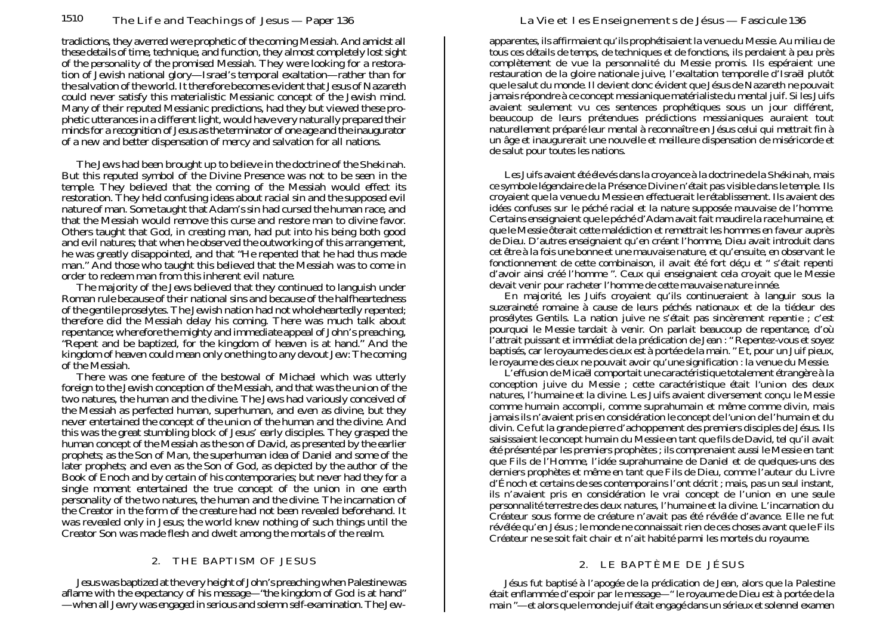tradictions, they averred were prophetic of the coming Messiah. And amidst all these details of time, technique, and function, they almost completely lost sight of the *personality* of the promised Messiah. They were looking for a restoration of Jewish national glory—Israel's temporal exaltation—rather than for the salvation of the world. It therefore becomes evident that Jesus of Nazareth could never satisfy this materialistic Messianic concept of the Jewish mind. Many of their reputed Messianic predictions, had they but viewed these prophetic utterances in a different light, would have very naturally prepared their minds for a recognition of Jesus as the terminator of one age and the inaugurator of a new and better dispensation of mercy and salvation for all nations.

The Jews had been brought up to believe in the doctrine of the *Shekinah.* But this reputed symbol of the Divine Presence was not to be seen in the temple. They believed that the coming of the Messiah would effect its restoration. They held confusing ideas about racial sin and the supposed evil nature of man. Some taught that Adam's sin had cursed the human race, and that the Messiah would remove this curse and restore man to divine favor. Others taught that God, in creating man, had put into his being both good and evil natures; that when he observed the outworking of this arrangement, he was greatly disappointed, and that "He repented that he had thus made man." And those who taught this believed that the Messiah was to come in order to redeem man from this inherent evil nature.

The majority of the Jews believed that they continued to languish under Roman rule because of their national sins and because of the halfheartedness of the gentile proselytes. The Jewish nation had not wholeheartedly *repented;* therefore did the Messiah delay his coming. There was much talk about repentance; wherefore the mighty and immediate appeal of John's preaching, "Repent and be baptized, for the kingdom of heaven is at hand." And the kingdom of heaven could mean only one thing to any devout Jew: The coming of the Messiah.

There was one feature of the bestowal of Michael which was utterly foreign to the Jewish conception of the Messiah, and that was the *union* of the two natures, the human and the divine. The Jews had variously conceived of the Messiah as perfected human, superhuman, and even as divine, but they never entertained the concept of the *union* of the human and the divine. And this was the great stumbling block of Jesus' early disciples. They grasped the human concept of the Messiah as the son of David, as presented by the earlier prophets; as the Son of Man, the superhuman idea of Daniel and some of the later prophets; and even as the Son of God, as depicted by the author of the Book of Enoch and by certain of his contemporaries; but never had they for a single moment entertained the true concept of the union in one earth personality of the two natures, the human and the divine. The incarnation of the Creator in the form of the creature had not been revealed beforehand. It was revealed only in Jesus; the world knew nothing of such things until the Creator Son was made flesh and dwelt among the mortals of the realm.

# 2. THE BAPTISM OF JESUS

Jesus was baptized at the very height of John's preaching when Palestine was aflame with the expectancy of his message—"the kingdom of God is at hand" —when all Jewry was engaged in serious and solemn self-examination. The Jewapparentes, ils affirmaient qu'ils prophétisaient la venue du Messie. Au milieu de tous ces détails de temps, de techniques et de fonctions, ils perdaient à peu près complètement de vue la *personnalit*é du Messie promis. Ils espéraient une restauration de la gloire nationale juive, l'exaltation temporelle d'Israël plutôt que le salut du monde. Il devient donc évident que Jésus de Nazareth ne pouvait jamais répondre à ce concept messianique matérialiste du mental juif. Si les Juifs avaient seulement vu ces sentences prophétiques sous un jour différent, beaucoup de leurs prétendues prédictions messianiques auraient tout naturellement préparé leur mental à reconnaître en Jésus celui qui mettrait fin à un âge et inaugurerait une nouvelle et meilleure dispensation de miséricorde et de salut pour toutes les nations.

Les Juifs avaient été élevés dans la croyance à la doctrine de la *Shékinah,* mais ce symbole légendaire de la Présence Divine n'était pas visible dans le temple. Ils croyaient que la venue du Messie en effectuerait le rétablissement. Ils avaient des idées confuses sur le péché racial et la nature supposée mauvaise de l'homme. Certains enseignaient que le péché d'Adam avait fait maudire la race humaine, et que le Messie ôterait cette malédiction et remettrait les hommes en faveur auprès de Dieu. D'autres enseignaient qu'en créant l'homme, Dieu avait introduit dans cet être à la fois une bonne et une mauvaise nature, et qu'ensuite, en observant le fonctionnement de cette combinaison, il avait été fort déçu et " s'était repenti d'avoir ainsi créé l'homme ". Ceux qui enseignaient cela croyait que le Messie devait venir pour racheter l'homme de cette mauvaise nature innée.

En majorité, les Juifs croyaient qu'ils continueraient à languir sous la suzeraineté romaine à cause de leurs péchés nationaux et de la tiédeur des prosélytes Gentils. La nation juive ne s'était pas sincèrement *repentie ;* c'est pourquoi le Messie tardait à venir. On parlait beaucoup de repentance, d'où l'attrait puissant et immédiat de la prédication de Jean : " Repentez-vous et soyez baptisés, car le royaume des cieux est à portée de la main. " Et, pour un Juif pieux, le royaume des cieux ne pouvait avoir qu'une signification : la venue du Messie.

L'effusion de Micaël comportait une caractéristique totalement étrangère à la conception juive du Messie ; cette caractéristique était l*'union* des deux natures, l'humaine et la divine. Les Juifs avaient diversement conçu le Messie comme humain accompli, comme suprahumain et même comme divin, mais jamais ils n'avaient pris en considération le concept de l*'union* de l'humain et du divin. Ce fut la grande pierre d'achoppement des premiers disciples de Jésus. Ils saisissaient le concept humain du Messie en tant que fils de David, tel qu'il avait été présenté par les premiers prophètes ; ils comprenaient aussi le Messie en tant que Fils de l'Homme, l'idée suprahumaine de Daniel et de quelques-uns des derniers prophètes et même en tant que Fils de Dieu, comme l'auteur du Livre d'Énoch et certains de ses contemporains l'ont décrit ; mais, pas un seul instant, ils n'avaient pris en considération le vrai concept de l'union en une seule personnalité terrestre des deux natures, l'humaine et la divine. L'incarnation du Créateur sous forme de créature n'avait pas été révélée d'avance. Elle ne fut révélée qu'en Jésus ; le monde ne connaissait rien de ces choses avant que le Fils Créateur ne se soit fait chair et n'ait habité parmi les mortels du royaume.

# 2. LE BAPTÈME DE JÉSUS

Jésus fut baptisé à l'apogée de la prédication de Jean, alors que la Palestine était enflammée d'espoir par le message—" le royaume de Dieu est à portée de la main "—et alors que le monde juif était engagé dans un sérieux et solennel examen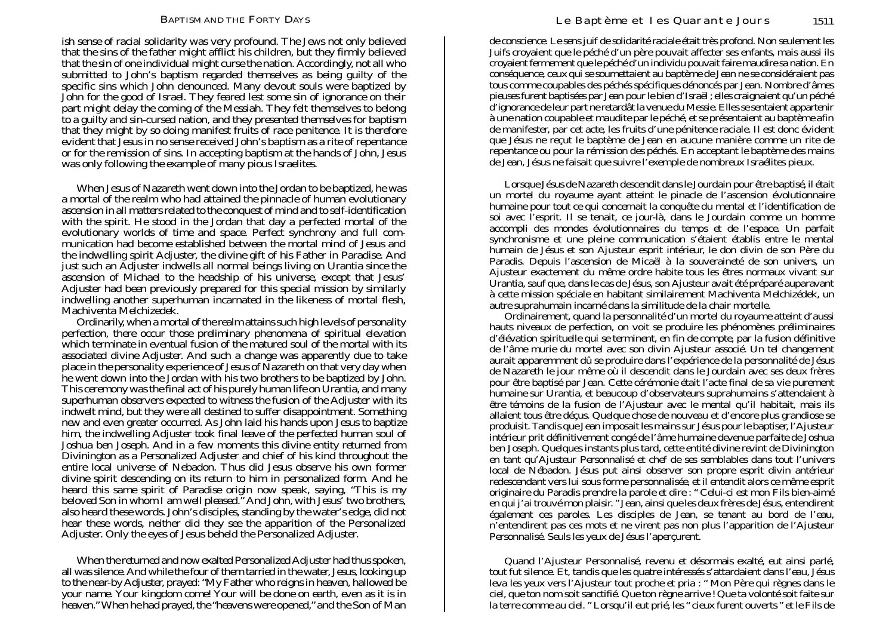ish sense of racial solidarity was very profound. The Jews not only believed that the sins of the father might afflict his children, but they firmly believed that the sin of one individual might curse the nation. Accordingly, not all who submitted to John's baptism regarded themselves as being guilty of the specific sins which John denounced. Many devout souls were baptized by John for the good of Israel. They feared lest some sin of ignorance on their part might delay the coming of the Messiah. They felt themselves to belong to a guilty and sin-cursed nation, and they presented themselves for baptism that they might by so doing manifest fruits of race penitence. It is therefore evident that Jesus in no sense received John's baptism as a rite of repentance or for the remission of sins. In accepting baptism at the hands of John, Jesus was only following the example of many pious Israelites.

When Jesus of Nazareth went down into the Jordan to be baptized, he was a mortal of the realm who had attained the pinnacle of human evolutionary ascension in all matters related to the conquest of mind and to self-identification with the spirit. He stood in the Jordan that day a perfected mortal of the evolutionary worlds of time and space. Perfect synchrony and full communication had become established between the mortal mind of Jesus and the indwelling spirit Adjuster, the divine gift of his Father in Paradise. And just such an Adjuster indwells all normal beings living on Urantia since the ascension of Michael to the headship of his universe, except that Jesus' Adjuster had been previously prepared for this special mission by similarly indwelling another superhuman incarnated in the likeness of mortal flesh, Machiventa Melchizedek.

Ordinarily, when a mortal of the realm attains such high levels of personality perfection, there occur those preliminary phenomena of spiritual elevation which terminate in eventual fusion of the matured soul of the mortal with its associated divine Adjuster. And such a change was apparently due to take place in the personality experience of Jesus of Nazareth on that very day when he went down into the Jordan with his two brothers to be baptized by John. This ceremony was the final act of his purely human life on Urantia, and many superhuman observers expected to witness the fusion of the Adjuster with its indwelt mind, but they were all destined to suffer disappointment. Something new and even greater occurred. As John laid his hands upon Jesus to baptize him, the indwelling Adjuster took final leave of the perfected human soul of Joshua ben Joseph. And in a few moments this divine entity returned from Divinington as a Personalized Adjuster and chief of his kind throughout the entire local universe of Nebadon. Thus did Jesus observe his own former divine spirit descending on its return to him in personalized form. And he heard this same spirit of Paradise origin now speak, saying, "This is my beloved Son in whom I am well pleased." And John, with Jesus' two brothers, also heard these words. John's disciples, standing by the water's edge, did not hear these words, neither did they see the apparition of the Personalized Adjuster. Only the eyes of Jesus beheld the Personalized Adjuster.

When the returned and now exalted Personalized Adjuster had thus spoken, all was silence. And while the four of them tarried in the water, Jesus, looking up to the near-by Adjuster, prayed: "My Father who reigns in heaven, hallowed be your name. Your kingdom come! Your will be done on earth, even as it is in heaven." When he had prayed, the "heavens were opened," and the Son of Man

de conscience. Le sens juif de solidarité raciale était très profond. Non seulement les Juifs croyaient que le péché d'un père pouvait affecter ses enfants, mais aussi ils croyaient fermement que le péché d'un individu pouvait faire maudire sa nation. En conséquence, ceux qui se soumettaient au baptème de Jean ne se considéraient pas tous comme coupables des péchés spécifiques dénoncés par Jean. Nombre d'âmes pieuses furent baptisées par Jean pour le bien d'Israël ; elles craignaient qu'un péché d'ignorance de leur part ne retardât la venue du Messie. Elles se sentaient appartenir à une nation coupable et maudite par le péché, et se présentaient au baptème afin de manifester, par cet acte, les fruits d'une pénitence raciale. Il est donc évident que Jésus ne reçut le baptème de Jean en aucune manière comme un rite de repentance ou pour la rémission des péchés. En acceptant le baptème des mains de Jean, Jésus ne faisait que suivre l'exemple de nombreux Israélites pieux.

Lorsque Jésus de Nazareth descendit dans le Jourdain pour être baptisé, il était un mortel du royaume ayant atteint le pinacle de l'ascension évolutionnaire humaine pour tout ce qui concernait la conquête du mental et l'identification de soi avec l'esprit. Il se tenait, ce jour-là, dans le Jourdain comme un homme accompli des mondes évolutionnaires du temps et de l'espace. Un parfait synchronisme et une pleine communication s'étaient établis entre le mental humain de Jésus et son Ajusteur esprit intérieur, le don divin de son Père du Paradis. Depuis l'ascension de Micaël à la souveraineté de son univers, un Ajusteur exactement du même ordre habite tous les êtres normaux vivant sur Urantia, sauf que, dans le cas de Jésus, son Ajusteur avait été préparé auparavant à cette mission spéciale en habitant similairement Machiventa Melchizédek, un autre suprahumain incarné dans la similitude de la chair mortelle.

Ordinairement, quand la personnalité d'un mortel du royaume atteint d'aussi hauts niveaux de perfection, on voit se produire les phénomènes préliminaires d'élévation spirituelle qui se terminent, en fin de compte, par la fusion définitive de l'âme murie du mortel avec son divin Ajusteur associé. Un tel changement aurait apparemment dû se produire dans l'expérience de la personnalité de Jésus de Nazareth le jour même où il descendit dans le Jourdain avec ses deux frères pour être baptisé par Jean. Cette cérémonie était l'acte final de sa vie purement humaine sur Urantia, et beaucoup d'observateurs suprahumains s'attendaient à être témoins de la fusion de l'Ajusteur avec le mental qu'il habitait, mais ils allaient tous être déçus. Quelque chose de nouveau et d'encore plus grandiose se produisit. Tandis que Jean imposait les mains sur Jésus pour le baptiser, l'Ajusteur intérieur prit définitivement congé de l'âme humaine devenue parfaite de Joshua ben Joseph. Quelques instants plus tard, cette entité divine revint de Divinington en tant qu'Ajusteur Personnalisé et chef de ses semblables dans tout l'univers local de Nébadon. Jésus put ainsi observer son propre esprit divin antérieur redescendant vers lui sous forme personnalisée, et il entendit alors ce même esprit originaire du Paradis prendre la parole et dire : " Celui-ci est mon Fils bien-aimé en qui j'ai trouvé mon plaisir. " Jean, ainsi que les deux frères de Jésus, entendirent également ces paroles. Les disciples de Jean, se tenant au bord de l'eau, n'entendirent pas ces mots et ne virent pas non plus l'apparition de l'Ajusteur Personnalisé. Seuls les yeux de Jésus l'aperçurent.

Quand l'Ajusteur Personnalisé, revenu et désormais exalté, eut ainsi parlé, tout fut silence. Et, tandis que les quatre intéressés s'attardaient dans l'eau, Jésus leva les yeux vers l'Ajusteur tout proche et pria : " Mon Père qui règnes dans le ciel, que ton nom soit sanctifié. Que ton règne arrive ! Que ta volonté soit faite sur la terre comme au ciel. " Lorsqu'il eut prié, les " cieux furent ouverts " et le Fils de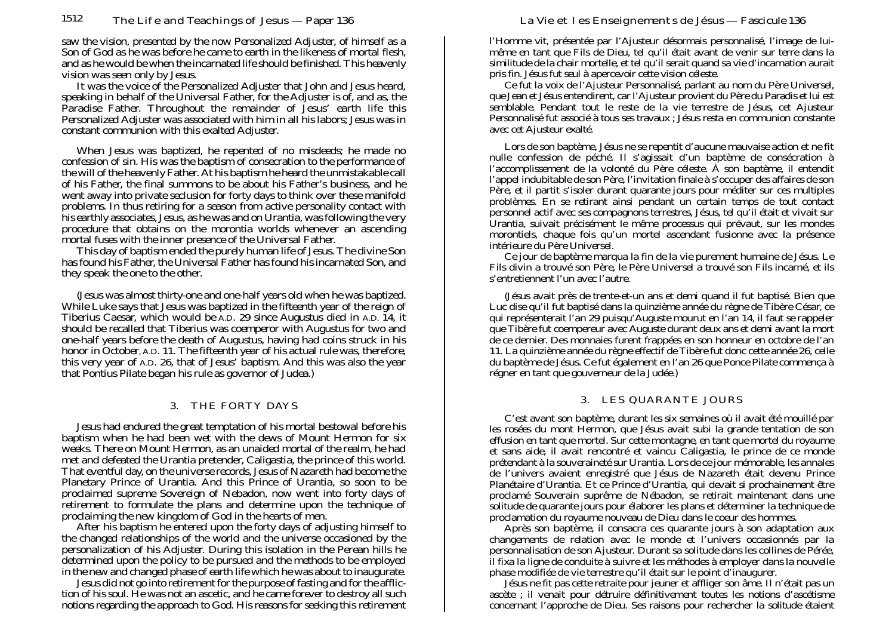saw the vision, presented by the now Personalized Adjuster, of himself as a Son of God as he was before he came to earth in the likeness of mortal flesh, and as he would be when the incarnated life should be finished. This heavenly vision was seen only by Jesus.

It was the voice of the Personalized Adjuster that John and Jesus heard, speaking in behalf of the Universal Father, for the Adjuster is of, and as, the Paradise Father. Throughout the remainder of Jesus' earth life this Personalized Adjuster was associated with him in all his labors; Jesus was in constant communion with this exalted Adjuster.

When Jesus was baptized, he repented of no misdeeds; he made no confession of sin. His was the baptism of consecration to the performance of the will of the heavenly Father. At his baptism he heard the unmistakable call of his Father, the final summons to be about his Father's business, and he went away into private seclusion for forty days to think over these manifold problems. In thus retiring for a season from active personality contact with his earthly associates, Jesus, as he was and on Urantia, was following the very procedure that obtains on the morontia worlds whenever an ascending mortal fuses with the inner presence of the Universal Father.

This day of baptism ended the purely human life of Jesus. The divine Son has found his Father, the Universal Father has found his incarnated Son, and they speak the one to the other.

(Jesus was almost thirty-one and one-half years old when he was baptized. While Luke says that Jesus was baptized in the fifteenth year of the reign of Tiberius Caesar, which would be A.D. 29 since Augustus died in A.D. 14, it should be recalled that Tiberius was coemperor with Augustus for two and one-half years before the death of Augustus, having had coins struck in his honor in October, A.D. 11. The fifteenth year of his actual rule was, therefore, this very year of A.D. <sup>26</sup>, that of Jesus' baptism. And this was also the year that Pontius Pilate began his rule as governor of Judea.)

# 3. THE FORTY DAYS

Jesus had endured the great temptation of his mortal bestowal before his baptism when he had been wet with the dews of Mount Hermon for six weeks. There on Mount Hermon, as an unaided mortal of the realm, he had met and defeated the Urantia pretender, Caligastia, the prince of this world. That eventful day, on the universe records, Jesus of Nazareth had become the Planetary Prince of Urantia. And this Prince of Urantia, so soon to be proclaimed supreme Sovereign of Nebadon, now went into forty days of retirement to formulate the plans and determine upon the technique of proclaiming the new kingdom of God in the hearts of men.

After his baptism he entered upon the forty days of adjusting himself to the changed relationships of the world and the universe occasioned by the personalization of his Adjuster. During this isolation in the Perean hills he determined upon the policy to be pursued and the methods to be employed in the new and changed phase of earth life which he was about to inaugurate.

Jesus did not go into retirement for the purpose of fasting and for the affliction of his soul. He was not an ascetic, and he came forever to destroy all such notions regarding the approach to God. His reasons for seeking this retirement l'Homme vit, présentée par l'Ajusteur désormais personnalisé, l'image de luimême en tant que Fils de Dieu, tel qu'il était avant de venir sur terre dans la similitude de la chair mortelle, et tel qu'il serait quand sa vie d'incarnation aurait pris fin. Jésus fut seul à apercevoir cette vision céleste.

Ce fut la voix de l'Ajusteur Personnalisé, parlant au nom du Père Universel, que Jean et Jésus entendirent, car l'Ajusteur provient du Père du Paradis et lui est semblable. Pendant tout le reste de la vie terrestre de Jésus, cet Ajusteur Personnalisé fut associé à tous ses travaux ; Jésus resta en communion constante avec cet Ajusteur exalté.

Lors de son baptème, Jésus ne se repentit d'aucune mauvaise action et ne fit nulle confession de péché. Il s'agissait d'un baptème de consécration à l'accomplissement de la volonté du Père céleste. À son baptème, il entendit l'appel indubitable de son Père, l'invitation finale à s'occuper des affaires de son Père, et il partit s'isoler durant quarante jours pour méditer sur ces multiples problèmes. En se retirant ainsi pendant un certain temps de tout contact personnel actif avec ses compagnons terrestres, Jésus, tel qu'il était et vivait sur Urantia, suivait précisément le même processus qui prévaut, sur les mondes morontiels, chaque fois qu'un mortel ascendant fusionne avec la présence intérieure du Père Universel.

Ce jour de baptème marqua la fin de la vie purement humaine de Jésus. Le Fils divin a trouvé son Père, le Père Universel a trouvé son Fils incarné, et ils s'entretiennent l'un avec l'autre.

(Jésus avait près de trente-et-un ans et demi quand il fut baptisé. Bien que Luc dise qu'il fut baptisé dans la quinzième année du règne de Tibère César, ce qui représenterait l'an 29 puisqu'Auguste mourut en l'an 14, il faut se rappeler que Tibère fut coempereur avec Auguste durant deux ans et demi avant la mort de ce dernier. Des monnaies furent frappées en son honneur en octobre de l'an 11. La quinzième année du règne effectif de Tibère fut donc cette année 26, celle du baptème de Jésus. Ce fut également en l'an 26 que Ponce Pilate commença à régner en tant que gouverneur de la Judée.)

# 3. LES QUARANTE JOURS

C'est avant son baptème, durant les six semaines où il avait été mouillé par les rosées du mont Hermon, que Jésus avait subi la grande tentation de son effusion en tant que mortel. Sur cette montagne, en tant que mortel du royaume et sans aide, il avait rencontré et vaincu Caligastia, le prince de ce monde prétendant à la souveraineté sur Urantia. Lors de ce jour mémorable, les annales de l'univers avaient enregistré que Jésus de Nazareth était devenu Prince Planétaire d'Urantia. Et ce Prince d'Urantia, qui devait si prochainement être proclamé Souverain suprême de Nébadon, se retirait maintenant dans une solitude de quarante jours pour élaborer les plans et déterminer la technique de proclamation du royaume nouveau de Dieu dans le coeur des hommes.

Après son baptème, il consacra ces quarante jours à son adaptation aux changements de relation avec le monde et l'univers occasionnés par la personnalisation de son Ajusteur. Durant sa solitude dans les collines de Pérée, il fixa la ligne de conduite à suivre et les méthodes à employer dans la nouvelle phase modifiée de vie terrestre qu'il était sur le point d'inaugurer.

Jésus ne fit pas cette retraite pour jeuner et affliger son âme. Il n'était pas un ascète ; il venait pour détruire définitivement toutes les notions d'ascétisme concernant l'approche de Dieu. Ses raisons pour rechercher la solitude étaient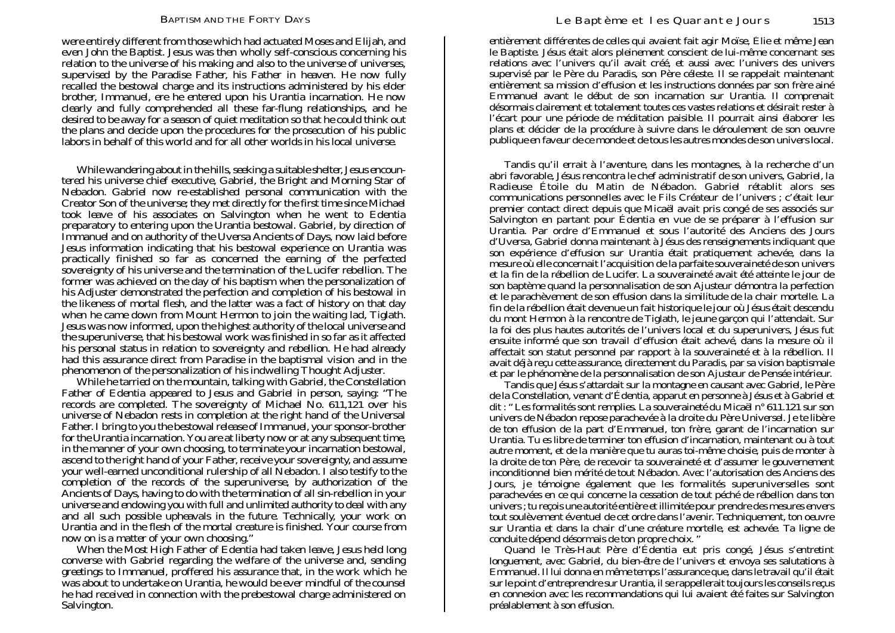were entirely different from those which had actuated Moses and Elijah, and even John the Baptist. Jesus was then wholly self-conscious concerning his relation to the universe of his making and also to the universe of universes, supervised by the Paradise Father, his Father in heaven. He now fully recalled the bestowal charge and its instructions administered by his elder brother, Immanuel, ere he entered upon his Urantia incarnation. He now clearly and fully comprehended all these far-flung relationships, and he desired to be away for a season of quiet meditation so that he could think out the plans and decide upon the procedures for the prosecution of his public labors in behalf of this world and for all other worlds in his local universe.

While wandering about in the hills, seeking a suitable shelter, Jesus encountered his universe chief executive, Gabriel, the Bright and Morning Star of Nebadon. Gabriel now re-established personal communication with the Creator Son of the universe; they met directly for the first time since Michael took leave of his associates on Salvington when he went to Edentia preparatory to entering upon the Urantia bestowal. Gabriel, by direction of Immanuel and on authority of the Uversa Ancients of Days, now laid before Jesus information indicating that his bestowal experience on Urantia was practically finished so far as concerned the earning of the perfected sovereignty of his universe and the termination of the Lucifer rebellion. The former was achieved on the day of his baptism when the personalization of his Adjuster demonstrated the perfection and completion of his bestowal in the likeness of mortal flesh, and the latter was a fact of history on that day when he came down from Mount Hermon to join the waiting lad, Tiglath. Jesus was now informed, upon the highest authority of the local universe and the superuniverse, that his bestowal work was finished in so far as it affected his personal status in relation to sovereignty and rebellion. He had already had this assurance direct from Paradise in the baptismal vision and in the phenomenon of the personalization of his indwelling Thought Adjuster.

While he tarried on the mountain, talking with Gabriel, the Constellation Father of Edentia appeared to Jesus and Gabriel in person, saying: "The records are completed. The sovereignty of Michael No. 611,121 over his universe of Nebadon rests in completion at the right hand of the Universal Father. I bring to you the bestowal release of Immanuel, your sponsor-brother for the Urantia incarnation. You are at liberty now or at any subsequent time, in the manner of your own choosing, to terminate your incarnation bestowal, ascend to the right hand of your Father, receive your sovereignty, and assume your well-earned unconditional rulership of all Nebadon. I also testify to the completion of the records of the superuniverse, by authorization of the Ancients of Days, having to do with the termination of all sin-rebellion in your universe and endowing you with full and unlimited authority to deal with any and all such possible upheavals in the future. Technically, your work on Urantia and in the flesh of the mortal creature is finished. Your course from now on is a matter of your own choosing."

When the Most High Father of Edentia had taken leave, Jesus held long converse with Gabriel regarding the welfare of the universe and, sending greetings to Immanuel, proffered his assurance that, in the work which he was about to undertake on Urantia, he would be ever mindful of the counsel he had received in connection with the prebestowal charge administered on Salvington.

entièrement différentes de celles qui avaient fait agir Moïse, Élie et même Jean le Baptiste. Jésus était alors pleinement conscient de lui-même concernant ses relations avec l'univers qu'il avait créé, et aussi avec l'univers des univers supervisé par le Père du Paradis, son Père céleste. Il se rappelait maintenant entièrement sa mission d'effusion et les instructions données par son frère ainé Emmanuel avant le début de son incarnation sur Urantia. Il comprenait désormais clairement et totalement toutes ces vastes relations et désirait rester à l'écart pour une période de méditation paisible. Il pourrait ainsi élaborer les plans et décider de la procédure à suivre dans le déroulement de son oeuvre publique en faveur de ce monde et de tous les autres mondes de son univers local.

Tandis qu'il errait à l'aventure, dans les montagnes, à la recherche d'un abri favorable, Jésus rencontra le chef administratif de son univers, Gabriel, la Radieuse Étoile du Matin de Nébadon. Gabriel rétablit alors ses communications personnelles avec le Fils Créateur de l'univers ; c'était leur premier contact direct depuis que Micaël avait pris congé de ses associés sur Salvington en partant pour Édentia en vue de se préparer à l'effusion sur Urantia. Par ordre d'Emmanuel et sous l'autorité des Anciens des Jours d'Uversa, Gabriel donna maintenant à Jésus des renseignements indiquant que son expérience d'effusion sur Urantia était pratiquement achevée, dans la mesure où elle concernait l'acquisition de la parfaite souveraineté de son univers et la fin de la rébellion de Lucifer. La souveraineté avait été atteinte le jour de son baptème quand la personnalisation de son Ajusteur démontra la perfection et le parachèvement de son effusion dans la similitude de la chair mortelle. La fin de la rébellion était devenue un fait historique le jour où Jésus était descendu du mont Hermon à la rencontre de Tiglath, le jeune garçon qui l'attendait. Sur la foi des plus hautes autorités de l'univers local et du superunivers, Jésus fut ensuite informé que son travail d'effusion était achevé, dans la mesure où il affectait son statut personnel par rapport à la souveraineté et à la rébellion. Il avait déjà reçu cette assurance, directement du Paradis, par sa vision baptismale et par le phénomène de la personnalisation de son Ajusteur de Pensée intérieur.

Tandis que Jésus s'attardait sur la montagne en causant avec Gabriel, le Père de la Constellation, venant d'Édentia, apparut en personne à Jésus et à Gabriel et dit : " Les formalités sont remplies. La souveraineté du Micaël n° 611.121 sur son univers de Nébadon repose parachevée à la droite du Père Universel. Je te libère de ton effusion de la part d'Emmanuel, ton frère, garant de l'incarnation sur Urantia. Tu es libre de terminer ton effusion d'incarnation, maintenant ou à tout autre moment, et de la manière que tu auras toi-même choisie, puis de monter à la droite de ton Père, de recevoir ta souveraineté et d'assumer le gouvernement inconditionnel bien mérité de tout Nébadon. Avec l'autorisation des Anciens des Jours, je témoigne également que les formalités superuniverselles sont parachevées en ce qui concerne la cessation de tout péché de rébellion dans ton univers ; tu reçois une autorité entière et illimitée pour prendre des mesures envers tout soulèvement éventuel de cet ordre dans l'avenir. Techniquement, ton oeuvre sur Urantia et dans la chair d'une créature mortelle, est achevée. Ta ligne de

conduite dépend désormais de ton propre choix. " Quand le Très-Haut Père d'Édentia eut pris congé, Jésus s'entretint longuement, avec Gabriel, du bien-être de l'univers et envoya ses salutations à Emmanuel. Il lui donna en même temps l'assurance que, dans le travail qu'il était sur le point d'entreprendre sur Urantia, il se rappellerait toujours les conseils reçus en connexion avec les recommandations qui lui avaient été faites sur Salvington préalablement à son effusion.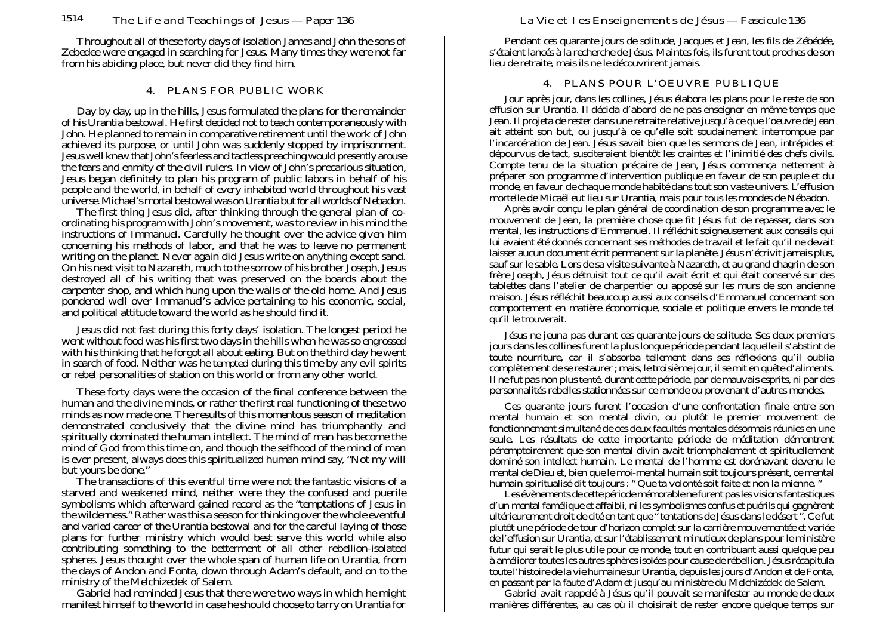Throughout all of these forty days of isolation James and John the sons of Zebedee were engaged in searching for Jesus. Many times they were not far from his abiding place, but never did they find him.

#### 4. PLANS FOR PUBLIC WORK

Day by day, up in the hills, Jesus formulated the plans for the remainder of his Urantia bestowal. He first decided not to teach contemporaneously with John. He planned to remain in comparative retirement until the work of John achieved its purpose, or until John was suddenly stopped by imprisonment. Jesus well knew that John's fearless and tactless preaching would presently arouse the fears and enmity of the civil rulers. In view of John's precarious situation, Jesus began definitely to plan his program of public labors in behalf of his people and the world, in behalf of every inhabited world throughout his vast universe. Michael's mortal bestowal was *on*Urantia but *for*all worlds of Nebadon.

The first thing Jesus did, after thinking through the general plan of coordinating his program with John's movement, was to review in his mind the instructions of Immanuel. Carefully he thought over the advice given him concerning his methods of labor, and that he was to leave no permanent writing on the planet. Never again did Jesus write on anything except sand. On his next visit to Nazareth, much to the sorrow of his brother Joseph, Jesus destroyed all of his writing that was preserved on the boards about the carpenter shop, and which hung upon the walls of the old home. And Jesus pondered well over Immanuel's advice pertaining to his economic, social, and political attitude toward the world as he should find it.

Jesus did not fast during this forty days' isolation. The longest period he went without food was his first two days in the hills when he was so engrossed with his thinking that he forgot all about eating. But on the third day he went in search of food. Neither was he *tempted* during this time by any evil spirits or rebel personalities of station on this world or from any other world.

These forty days were the occasion of the final conference between the human and the divine minds, or rather the first real functioning of these two minds as now made one. The results of this momentous season of meditation demonstrated conclusively that the divine mind has triumphantly and spiritually dominated the human intellect. The mind of man has become the mind of God from this time on, and though the selfhood of the mind of man is ever present, always does this spiritualized human mind say, "Not my will but yours be done."

The transactions of this eventful time were not the fantastic visions of a starved and weakened mind, neither were they the confused and puerile symbolisms which afterward gained record as the "temptations of Jesus in the wilderness." Rather was this a season for thinking over the whole eventful and varied career of the Urantia bestowal and for the careful laying of those plans for further ministry which would best serve this world while also contributing something to the betterment of all other rebellion-isolated spheres. Jesus thought over the whole span of human life on Urantia, from the days of Andon and Fonta, down through Adam's default, and on to the ministry of the Melchizedek of Salem.

Gabriel had reminded Jesus that there were two ways in which he might manifest himself to the world in case he should choose to tarry on Urantia for

Pendant ces quarante jours de solitude, Jacques et Jean, les fils de Zébédée, s'étaient lancés à la recherche de Jésus. Maintes fois, ils furent tout proches de son lieu de retraite, mais ils ne le découvrirent jamais.

#### 4. PLANS POUR L'OEUVRE PUBLIQUE

Jour après jour, dans les collines, Jésus élabora les plans pour le reste de son effusion sur Urantia. Il décida d'abord de ne pas enseigner en même temps que Jean. Il projeta de rester dans une retraite relative jusqu'à ce que l'oeuvre de Jean ait atteint son but, ou jusqu'à ce qu'elle soit soudainement interrompue par l'incarcération de Jean. Jésus savait bien que les sermons de Jean, intrépides et dépourvus de tact, susciteraient bientôt les craintes et l'inimitié des chefs civils. Compte tenu de la situation précaire de Jean, Jésus commença nettement à préparer son programme d'intervention publique en faveur de son peuple et du monde, en faveur de chaque monde habité dans tout son vaste univers. L'effusion mortelle de Micaël eut lieu *sur* Urantia, mais pour *tous* les mondes de Nébadon.

Après avoir conçu le plan général de coordination de son programme avec le mouvement de Jean, la première chose que fit Jésus fut de repasser, dans son mental, les instructions d'Emmanuel. Il réfléchit soigneusement aux conseils qui lui avaient été donnés concernant ses méthodes de travail et le fait qu'il ne devait laisser aucun document écrit permanent sur la planète. Jésus n'écrivit jamais plus, sauf sur le sable. Lors de sa visite suivante à Nazareth, et au grand chagrin de son frère Joseph, Jésus détruisit tout ce qu'il avait écrit et qui était conservé sur des tablettes dans l'atelier de charpentier ou apposé sur les murs de son ancienne maison. Jésus réfléchit beaucoup aussi aux conseils d'Emmanuel concernant son comportement en matière économique, sociale et politique envers le monde tel qu'il le trouverait.

Jésus ne jeuna pas durant ces quarante jours de solitude. Ses deux premiers jours dans les collines furent la plus longue période pendant laquelle il s'abstint de toute nourriture, car il s'absorba tellement dans ses réflexions qu'il oublia complètement de se restaurer ; mais, le troisième jour, il se mit en quête d'aliments. Il ne fut pas non plus*tent*é, durant cette période, par de mauvais esprits, ni par des personnalités rebelles stationnées sur ce monde ou provenant d'autres mondes.

Ces quarante jours furent l'occasion d'une confrontation finale entre son mental humain et son mental divin, ou plutôt le premier mouvement de fonctionnement simultané de ces deux facultés mentales désormais réunies en une seule. Les résultats de cette importante période de méditation démontrent péremptoirement que son mental divin avait triomphalement et spirituellement dominé son intellect humain. Le mental de l'homme est dorénavant devenu le mental de Dieu et, bien que le moi-mental humain soit toujours présent, ce mental humain spiritualisé dit toujours : " Que ta volonté soit faite et non la mienne. "

Les évènements de cette période mémorable ne furent pas les visions fantastiques d'un mental famélique et affaibli, ni les symbolismes confus et puérils qui gagnèrent ultérieurement droit de cité en tant que " tentations de Jésus dans le désert ". Ce fut plutôt une période de tour d'horizon complet sur la carrière mouvementée et variée de l'effusion sur Urantia, et sur l'établissement minutieux de plans pour le ministère futur qui serait le plus utile pour ce monde, tout en contribuant aussi quelque peu à améliorer toutes les autres sphères isolées pour cause de rébellion. Jésus récapitula toute l'histoire de la vie humaine sur Urantia, depuis les jours d'Andon et de Fonta, en passant par la faute d'Adam et jusqu'au ministère du Melchizédek de Salem.

Gabriel avait rappelé à Jésus qu'il pouvait se manifester au monde de deux manières différentes, au cas où il choisirait de rester encore quelque temps sur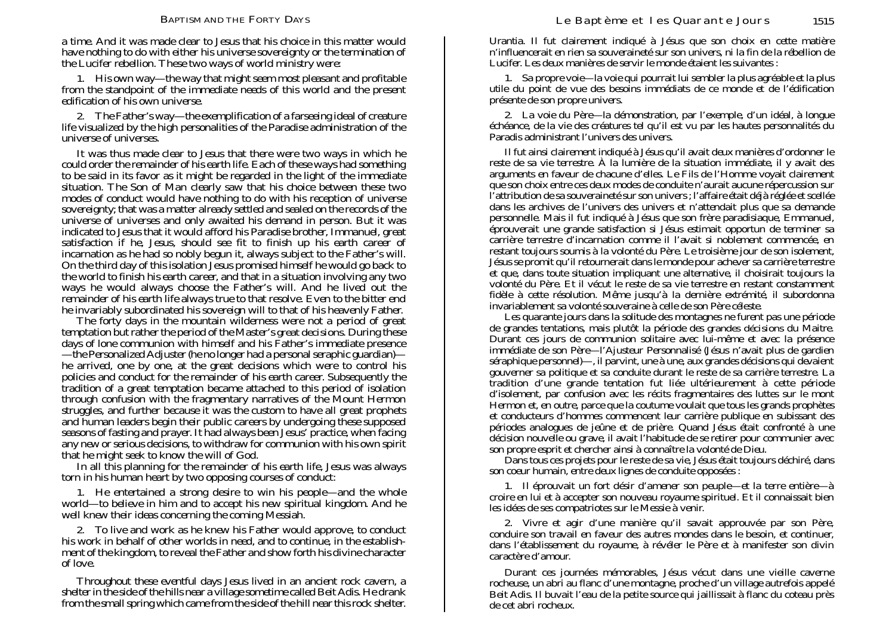a time. And it was made clear to Jesus that his choice in this matter would have nothing to do with either his universe sovereignty or the termination of the Lucifer rebellion. These two ways of world ministry were:

1. His own way—the way that might seem most pleasant and profitable from the standpoint of the immediate needs of this world and the present edification of his own universe.

2. The Father's way—the exemplification of a farseeing ideal of creature life visualized by the high personalities of the Paradise administration of the universe of universes.

It was thus made clear to Jesus that there were two ways in which he could order the remainder of his earth life. Each of these ways had something to be said in its favor as it might be regarded in the light of the immediate situation. The Son of Man clearly saw that his choice between these two modes of conduct would have nothing to do with his reception of universe sovereignty; that was a matter already settled and sealed on the records of the universe of universes and only awaited his demand in person. But it was indicated to Jesus that it would afford his Paradise brother, Immanuel, great satisfaction if he, Jesus, should see fit to finish up his earth career of incarnation as he had so nobly begun it, always subject to the Father's will. On the third day of this isolation Jesus promised himself he would go back to the world to finish his earth career, and that in a situation involving any two ways he would always choose the Father's will. And he lived out the remainder of his earth life always true to that resolve. Even to the bitter end he invariably subordinated his sovereign will to that of his heavenly Father.

The forty days in the mountain wilderness were not a period of great temptation but rather the period of the Master's *great decisions.* During these days of lone communion with himself and his Father's immediate presence —the Personalized Adjuster (he no longer had a personal seraphic guardian) he arrived, one by one, at the great decisions which were to control his policies and conduct for the remainder of his earth career. Subsequently the tradition of a great temptation became attached to this period of isolation through confusion with the fragmentary narratives of the Mount Hermon struggles, and further because it was the custom to have all great prophets and human leaders begin their public careers by undergoing these supposed seasons of fasting and prayer. It had always been Jesus' practice, when facing any new or serious decisions, to withdraw for communion with his own spirit that he might seek to know the will of God.

In all this planning for the remainder of his earth life, Jesus was always torn in his human heart by two opposing courses of conduct:

1. He entertained a strong desire to win his people—and the whole world—to believe in him and to accept his new spiritual kingdom. And he well knew their ideas concerning the coming Messiah.

2. To live and work as he knew his Father would approve, to conduct his work in behalf of other worlds in need, and to continue, in the establishment of the kingdom, to reveal the Father and show forth his divine character of love.

Throughout these eventful days Jesus lived in an ancient rock cavern, a shelter in the side of the hills near a village sometime called Beit Adis. He drank from the small spring which came from the side of the hill near this rock shelter. Urantia. Il fut clairement indiqué à Jésus que son choix en cette matière n'influencerait en rien sa souveraineté sur son univers, ni la fin de la rébellion de Lucifer. Les deux manières de servir le monde étaient les suivantes :

1. Sa propre voie—la voie qui pourrait lui sembler la plus agréable et la plus utile du point de vue des besoins immédiats de ce monde et de l'édification présente de son propre univers.

2. La voie du Père—la démonstration, par l'exemple, d'un idéal, à longue échéance, de la vie des créatures tel qu'il est vu par les hautes personnalités du Paradis administrant l'univers des univers.

Il fut ainsi clairement indiqué à Jésus qu'il avait deux manières d'ordonner le reste de sa vie terrestre. À la lumière de la situation immédiate, il y avait des arguments en faveur de chacune d'elles. Le Fils de l'Homme voyait clairement que son choix entre ces deux modes de conduite n'aurait aucune répercussion sur l'attribution de sa souveraineté sur son univers ; l'affaire était déjà réglée et scellée dans les archives de l'univers des univers et n'attendait plus que sa demande personnelle. Mais il fut indiqué à Jésus que son frère paradisiaque, Emmanuel, éprouverait une grande satisfaction si Jésus estimait opportun de terminer sa carrière terrestre d'incarnation comme il l'avait si noblement commencée, en restant toujours soumis à la volonté du Père. Le troisième jour de son isolement, Jésus se promit qu'il retournerait dans le monde pour achever sa carrière terrestre et que, dans toute situation impliquant une alternative, il choisirait toujours la volonté du Père. Et il vécut le reste de sa vie terrestre en restant constamment fidèle à cette résolution. Même jusqu'à la dernière extrémité, il subordonna invariablement sa volonté souveraine à celle de son Père céleste.

Les quarante jours dans la solitude des montagnes ne furent pas une période de grandes tentations, mais plutôt la période des *grandes décisions* du Maitre. Durant ces jours de communion solitaire avec lui-même et avec la présence immédiate de son Père—l'Ajusteur Personnalisé (Jésus n'avait plus de gardien séraphique personnel)—, il parvint, une à une, aux grandes décisions qui devaient gouverner sa politique et sa conduite durant le reste de sa carrière terrestre. La tradition d'une grande tentation fut liée ultérieurement à cette période d'isolement, par confusion avec les récits fragmentaires des luttes sur le mont Hermon et, en outre, parce que la coutume voulait que tous les grands prophètes et conducteurs d'hommes commencent leur carrière publique en subissant des périodes analogues de jeûne et de prière. Quand Jésus était confronté à une décision nouvelle ou grave, il avait l'habitude de se retirer pour communier avec son propre esprit et chercher ainsi à connaître la volonté de Dieu.

Dans tous ces projets pour le reste de sa vie, Jésus était toujours déchiré, dans son coeur humain, entre deux lignes de conduite opposées :

1. Il éprouvait un fort désir d'amener son peuple—et la terre entière—à croire en lui et à accepter son nouveau royaume spirituel. Et il connaissait bien les idées de ses compatriotes sur le Messie à venir.

2. Vivre et agir d'une manière qu'il savait approuvée par son Père, conduire son travail en faveur des autres mondes dans le besoin, et continuer, dans l'établissement du royaume, à révéler le Père et à manifester son divin caractère d'amour.

Durant ces journées mémorables, Jésus vécut dans une vieille caverne rocheuse, un abri au flanc d'une montagne, proche d'un village autrefois appelé Beit Adis. Il buvait l'eau de la petite source qui jaillissait à flanc du coteau près de cet abri rocheux.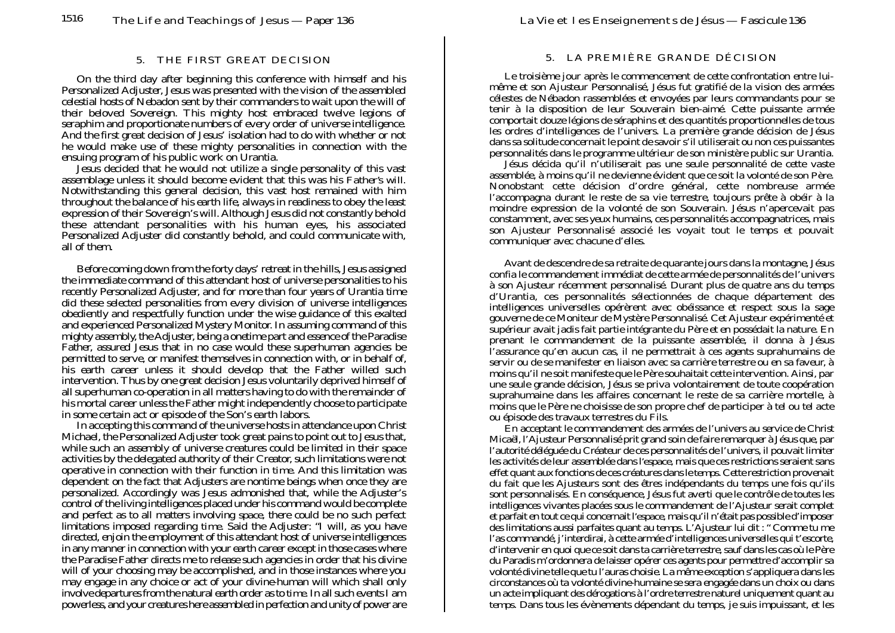#### 5. THE FIRST GREAT DECISION

On the third day after beginning this conference with himself and his Personalized Adjuster, Jesus was presented with the vision of the assembled celestial hosts of Nebadon sent by their commanders to wait upon the will of their beloved Sovereign. This mighty host embraced twelve legions of seraphim and proportionate numbers of every order of universe intelligence. And the first great decision of Jesus' isolation had to do with whether or not he would make use of these mighty personalities in connection with the ensuing program of his public work on Urantia.

Jesus decided that he would *not* utilize a single personality of this vast assemblage unless it should become evident that this was his *Father's will.* Notwithstanding this general decision, this vast host remained with him throughout the balance of his earth life, always in readiness to obey the least expression of their Sovereign's will. Although Jesus did not constantly behold these attendant personalities with his human eyes, his associated Personalized Adjuster did constantly behold, and could communicate with, all of them.

Before coming down from the forty days' retreat in the hills, Jesus assigned the immediate command of this attendant host of universe personalities to his recently Personalized Adjuster, and for more than four years of Urantia time did these selected personalities from every division of universe intelligences obediently and respectfully function under the wise guidance of this exalted and experienced Personalized Mystery Monitor. In assuming command of this mighty assembly, the Adjuster, being a onetime part and essence of the Paradise Father, assured Jesus that in no case would these superhuman agencies be permitted to serve, or manifest themselves in connection with, or in behalf of, his earth career unless it should develop that the Father willed such intervention. Thus by one great decision Jesus voluntarily deprived himself of all superhuman co-operation in all matters having to do with the remainder of his mortal career unless the Father might independently choose to participate in some certain act or episode of the Son's earth labors.

In accepting this command of the universe hosts in attendance upon Christ Michael, the Personalized Adjuster took great pains to point out to Jesus that, while such an assembly of universe creatures could be limited in their *space* activities by the delegated authority of their Creator, such limitations were not operative in connection with their function in *time.* And this limitation was dependent on the fact that Adjusters are nontime beings when once they are personalized. Accordingly was Jesus admonished that, while the Adjuster's control of the living intelligences placed under his command would be complete and perfect as to all matters involving *space,* there could be no such perfect limitations imposed regarding *time.* Said the Adjuster: "I will, as you have directed, enjoin the employment of this attendant host of universe intelligences in any manner in connection with your earth career except in those cases where the Paradise Father directs me to release such agencies in order that his divine will of your choosing may be accomplished, and in those instances where you may engage in any choice or act of your divine-human will which shall only involve departures from the natural earth order as to *time.*In all such events I am powerless, and your creatures here assembled in perfection and unity of power are

### 5. LA PREMIÈRE GRANDE DÉCISION

Le troisième jour après le commencement de cette confrontation entre luimême et son Ajusteur Personnalisé, Jésus fut gratifié de la vision des armées célestes de Nébadon rassemblées et envoyées par leurs commandants pour se tenir à la disposition de leur Souverain bien-aimé. Cette puissante armée comportait douze légions de séraphins et des quantités proportionnelles de tous les ordres d'intelligences de l'univers. La première grande décision de Jésus dans sa solitude concernait le point de savoir s'il utiliserait ou non ces puissantes personnalités dans le programme ultérieur de son ministère public sur Urantia.

Jésus décida qu'il n'utiliserait *pas* une seule personnalité de cette vaste assemblée, à moins qu'il ne devienne évident que ce soit la *volonté de son Père*. Nonobstant cette décision d'ordre général, cette nombreuse armée l'accompagna durant le reste de sa vie terrestre, toujours prête à obéir à la moindre expression de la volonté de son Souverain. Jésus n'apercevait pas constamment, avec ses yeux humains, ces personnalités accompagnatrices, mais son Ajusteur Personnalisé associé les voyait tout le temps et pouvait communiquer avec chacune d'elles.

Avant de descendre de sa retraite de quarante jours dans la montagne, Jésus confia le commandement immédiat de cette armée de personnalités de l'univers à son Ajusteur récemment personnalisé. Durant plus de quatre ans du temps d'Urantia, ces personnalités sélectionnées de chaque département des intelligences universelles opérèrent avec obéissance et respect sous la sage gouverne de ce Moniteur de Mystère Personnalisé. Cet Ajusteur expérimenté et supérieur avait jadis fait partie intégrante du Père et en possédait la nature. En prenant le commandement de la puissante assemblée, il donna à Jésus l'assurance qu'en aucun cas, il ne permettrait à ces agents suprahumains de servir ou de se manifester en liaison avec sa carrière terrestre ou en sa faveur, à moins qu'il ne soit manifeste que le Père souhaitait cette intervention. Ainsi, par une seule grande décision, Jésus se priva volontairement de toute coopération suprahumaine dans les affaires concernant le reste de sa carrière mortelle, à moins que le Père ne choisisse de son propre chef de participer à tel ou tel acte ou épisode des travaux terrestres du Fils.

En acceptant le commandement des armées de l'univers au service de Christ Micaël, l'Ajusteur Personnalisé prit grand soin de faire remarquer à Jésus que, par l'autorité déléguée du Créateur de ces personnalités de l'univers, il pouvait limiter les activités de leur assemblée dans l*'espace,* mais que ces restrictions seraient sans effet quant aux fonctions de ces créatures dans le *temps.* Cette restriction provenait du fait que les Ajusteurs sont des êtres indépendants du temps une fois qu'ils sont personnalisés. En conséquence, Jésus fut averti que le contrôle de toutes les intelligences vivantes placées sous le commandement de l'Ajusteur serait complet et parfait en tout ce qui concernait l*'espace,* mais qu'il n'était pas possible d'imposer des limitations aussi parfaites quant au *temps.* L'Ajusteur lui dit : " Comme tu me l'as commandé, j'interdirai, à cette armée d'intelligences universelles qui t'escorte, d'intervenir en quoi que ce soit dans ta carrière terrestre, sauf dans les cas où le Père du Paradis m'ordonnera de laisser opérer ces agents pour permettre d'accomplir sa volonté divine telle que tu l'auras choisie. La même exception s'appliquera dans les circonstances où ta volonté divine-humaine se sera engagée dans un choix ou dans un acte impliquant des dérogations à l'ordre terrestre naturel uniquement quant au *temps.* Dans tous les évènements dépendant du temps, je suis impuissant, et les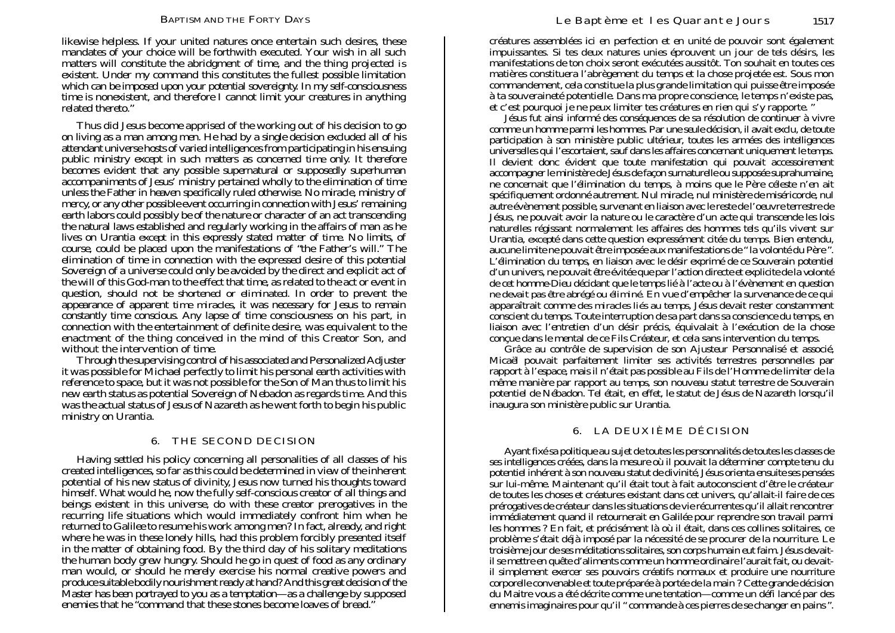likewise helpless. If your united natures once entertain such desires, these mandates of your choice will be forthwith executed. Your wish in all such matters will constitute the abridgment of time, and the thing projected *is* existent. Under my command this constitutes the fullest possible limitation which can be imposed upon your potential sovereignty. In my self-consciousness time is nonexistent, and therefore I cannot limit your creatures in anything related thereto."

Thus did Jesus become apprised of the working out of his decision to go on living as a man among men. He had by a single decision excluded all of his attendant universe hosts of varied intelligences from participating in his ensuing public ministry except in such matters as concerned *time* only. It therefore becomes evident that any possible supernatural or supposedly superhuman accompaniments of Jesus' ministry pertained wholly to the elimination of time unless the Father in heaven specifically ruled otherwise. No miracle, ministry of mercy, or any other possible event occurring in connection with Jesus' remaining earth labors could possibly be of the nature or character of an act transcending the natural laws established and regularly working in the affairs of man as he lives on Urantia *except* in this expressly stated matter of *time.* No limits, of course, could be placed upon the manifestations of "the Father's will." The elimination of time in connection with the expressed desire of this potential Sovereign of a universe could only be avoided by the direct and explicit act of the *will* of this God-man to the effect that time, as related to the act or event in question, *should not be shortened or eliminated.* In order to prevent the appearance of apparent *time miracles,* it was necessary for Jesus to remain constantly time conscious. Any lapse of time consciousness on his part, in connection with the entertainment of definite desire, was equivalent to the enactment of the thing conceived in the mind of this Creator Son, and without the intervention of time.

Through the supervising control of his associated and Personalized Adjuster it was possible for Michael perfectly to limit his personal earth activities with reference to space, but it was not possible for the Son of Man thus to limit his new earth status as potential Sovereign of Nebadon as regards *time.* And this was the actual status of Jesus of Nazareth as he went forth to begin his public ministry on Urantia.

# 6. THE SECOND DECISION

Having settled his policy concerning all personalities of all classes of his created intelligences, so far as this could be determined in view of the inherent potential of his new status of divinity, Jesus now turned his thoughts toward himself. What would he, now the fully self-conscious creator of all things and beings existent in this universe, do with these creator prerogatives in the recurring life situations which would immediately confront him when he returned to Galilee to resume his work among men? In fact, already, and right where he was in these lonely hills, had this problem forcibly presented itself in the matter of obtaining food. By the third day of his solitary meditations the human body grew hungry. Should he go in quest of food as any ordinary man would, or should he merely exercise his normal creative powers and produce suitable bodily nourishment ready at hand? And this great decision of the Master has been portrayed to you as a temptation—as a challenge by supposed enemies that he "command that these stones become loaves of bread."

créatures assemblées ici en perfection et en unité de pouvoir sont également impuissantes. Si tes deux natures unies éprouvent un jour de tels désirs, les manifestations de ton choix seront exécutées aussitôt. Ton souhait en toutes ces matières constituera l'abrègement du temps et la chose projetée *est*. Sous mon commandement, cela constitue la plus grande limitation qui puisse être imposée à ta souveraineté potentielle. Dans ma propre conscience, le temps n'existe pas, et c'est pourquoi je ne peux limiter tes créatures en rien qui s'y rapporte. "

Jésus fut ainsi informé des conséquences de sa résolution de continuer à vivre comme un homme parmi les hommes. Par une seule décision, il avait exclu, de toute participation à son ministère public ultérieur, toutes les armées des intelligences universelles qui l'escortaient, sauf dans les affaires concernant uniquement le *temps.* Il devient donc évident que toute manifestation qui pouvait accessoirement accompagner le ministère de Jésus de façon surnaturelle ou supposée suprahumaine, ne concernait que l'élimination du temps, à moins que le Père céleste n'en ait spécifiquement ordonné autrement. Nul miracle, nul ministère de miséricorde, nul autre évènement possible, survenant en liaison avec le reste de l'oeuvre terrestre de Jésus, ne pouvait avoir la nature ou le caractère d'un acte qui transcende les lois naturelles régissant normalement les affaires des hommes tels qu'ils vivent sur Urantia, *except*é dans cette question expressément citée du *temps*. Bien entendu, aucune limite ne pouvait être imposée aux manifestations de " la volonté du Père ". L'élimination du temps, en liaison avec le désir exprimé de ce Souverain potentiel d'un univers, ne pouvait être évitée que par l'action directe et explicite de la *volonté* de cet homme-Dieu décidant que le temps lié à l'acte ou à l'évènement en question *ne devait pas être abrégé ou éliminé.* En vue d'empêcher la survenance de ce qui apparaîtrait comme *des miracles liés au temps,* Jésus devait rester constamment conscient du temps. Toute interruption de sa part dans sa conscience du temps, en liaison avec l'entretien d'un désir précis, équivalait à l'exécution de la chose conçue dans le mental de ce Fils Créateur, et cela sans intervention du temps.

Grâce au contrôle de supervision de son Ajusteur Personnalisé et associé, Micaël pouvait parfaitement limiter ses activités terrestres personnelles par rapport à l'espace, mais il n'était pas possible au Fils de l'Homme de limiter de la même manière par rapport au *temps,* son nouveau statut terrestre de Souverain potentiel de Nébadon. Tel était, en effet, le statut de Jésus de Nazareth lorsqu'il inaugura son ministère public sur Urantia.

#### 6. LA DEUXIÈME DÉCISION

Ayant fixé sa politique au sujet de toutes les personnalités de toutes les classes de ses intelligences créées, dans la mesure où il pouvait la déterminer compte tenu du potentiel inhérent à son nouveau statut de divinité, Jésus orienta ensuite ses pensées sur lui-même. Maintenant qu'il était tout à fait autoconscient d'être le créateur de toutes les choses et créatures existant dans cet univers, qu'allait-il faire de ces prérogatives de créateur dans les situations de vie récurrentes qu'il allait rencontrer immédiatement quand il retournerait en Galilée pour reprendre son travail parmi les hommes ? En fait, et précisément là où il était, dans ces collines solitaires, ce problème s'était déjà imposé par la nécessité de se procurer de la nourriture. Le troisième jour de ses méditations solitaires, son corps humain eut faim. Jésus devaitil se mettre en quête d'aliments comme un homme ordinaire l'aurait fait, ou devaitil simplement exercer ses pouvoirs créatifs normaux et produire une nourriture corporelle convenable et toute préparée à portée de la main ? Cette grande décision du Maitre vous a été décrite comme une tentation—comme un défi lancé par des ennemis imaginaires pour qu'il " commande à ces pierres de se changer en pains ".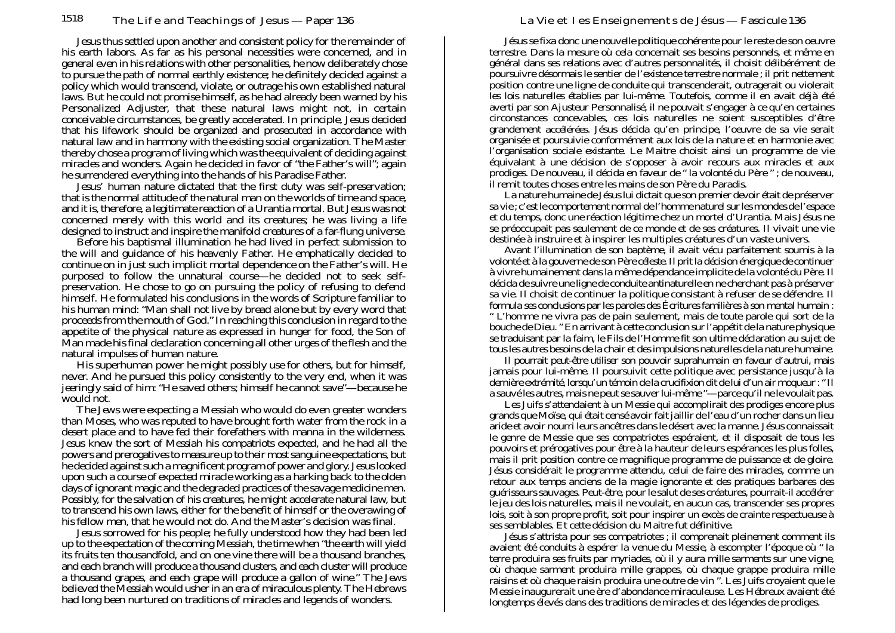Jesus thus settled upon another and consistent policy for the remainder of his earth labors. As far as his personal necessities were concerned, and in general even in his relations with other personalities, he now deliberately chose to pursue the path of normal earthly existence; he definitely decided against a policy which would transcend, violate, or outrage his own established natural laws. But he could not promise himself, as he had already been warned by his Personalized Adjuster, that these natural laws might not, in certain conceivable circumstances, be greatly *accelerated.* In principle, Jesus decided that his lifework should be organized and prosecuted in accordance with natural law and in harmony with the existing social organization. The Master thereby chose a program of living which was the equivalent of deciding against miracles and wonders. Again he decided in favor of "the Father's will"; again he surrendered everything into the hands of his Paradise Father.

Jesus' human nature dictated that the first duty was self-preservation; that is the normal attitude of the natural man on the worlds of time and space, and it is, therefore, a legitimate reaction of a Urantia mortal. But Jesus was not concerned merely with this world and its creatures; he was living a life designed to instruct and inspire the manifold creatures of a far-flung universe.

Before his baptismal illumination he had lived in perfect submission to the will and guidance of his heavenly Father. He emphatically decided to continue on in just such implicit mortal dependence on the Father's will. He purposed to follow the unnatural course—he decided not to seek selfpreservation. He chose to go on pursuing the policy of refusing to defend himself. He formulated his conclusions in the words of Scripture familiar to his human mind: "Man shall not live by bread alone but by every word that proceeds from the mouth of God." In reaching this conclusion in regard to the appetite of the physical nature as expressed in hunger for food, the Son of Man made his final declaration concerning all other urges of the flesh and the natural impulses of human nature.

His superhuman power he might possibly use for others, but for himself, never. And he pursued this policy consistently to the very end, when it was jeeringly said of him: "He saved others; himself he cannot save"—because he would not.

The Jews were expecting a Messiah who would do even greater wonders than Moses, who was reputed to have brought forth water from the rock in a desert place and to have fed their forefathers with manna in the wilderness. Jesus knew the sort of Messiah his compatriots expected, and he had all the powers and prerogatives to measure up to their most sanguine expectations, but he decided against such a magnificent program of power and glory. Jesus looked upon such a course of expected miracle working as a harking back to the olden days of ignorant magic and the degraded practices of the savage medicine men. Possibly, for the salvation of his creatures, he might accelerate natural law, but to transcend his own laws, either for the benefit of himself or the overawing of his fellow men, that he would not do. And the Master's decision was final.

Jesus sorrowed for his people; he fully understood how they had been led up to the expectation of the coming Messiah, the time when "the earth will yield its fruits ten thousandfold, and on one vine there will be a thousand branches, and each branch will produce a thousand clusters, and each cluster will produce a thousand grapes, and each grape will produce a gallon of wine." The Jews believed the Messiah would usher in an era of miraculous plenty. The Hebrews had long been nurtured on traditions of miracles and legends of wonders.

Jésus se fixa donc une nouvelle politique cohérente pour le reste de son oeuvre terrestre. Dans la mesure où cela concernait ses besoins personnels, et même en général dans ses relations avec d'autres personnalités, il choisit délibérément de poursuivre désormais le sentier de l'existence terrestre normale ; il prit nettement position contre une ligne de conduite qui transcenderait, outragerait ou violerait les lois naturelles établies par lui-même. Toutefois, comme il en avait déjà été averti par son Ajusteur Personnalisé, il ne pouvait s'engager à ce qu'en certaines circonstances concevables, ces lois naturelles ne soient susceptibles d'être grandement *accélérées.* Jésus décida qu'en principe, l'oeuvre de sa vie serait organisée et poursuivie conformément aux lois de la nature et en harmonie avec l'organisation sociale existante. Le Maitre choisit ainsi un programme de vie équivalant à une décision de s'opposer à avoir recours aux miracles et aux prodiges. De nouveau, il décida en faveur de " la volonté du Père " ; de nouveau, il remit toutes choses entre les mains de son Père du Paradis.

La nature humaine de Jésus lui dictait que son premier devoir était de préserver sa vie ; c'est le comportement normal de l'homme naturel sur les mondes de l'espace et du temps, donc une réaction légitime chez un mortel d'Urantia. Mais Jésus ne se préoccupait pas seulement de ce monde et de ses créatures. Il vivait une vie destinée à instruire et à inspirer les multiples créatures d'un vaste univers.

Avant l'illumination de son baptème, il avait vécu parfaitement soumis à la volonté et à la gouverne de son Père céleste. Il prit la décision énergique de continuer à vivre humainement dans la même dépendance implicite de la volonté du Père. Il décida de suivre une ligne de conduite antinaturelle en ne cherchant pas à préserver sa vie. Il choisit de continuer la politique consistant à refuser de se défendre. Il formula ses conclusions par les paroles des Écritures familières à son mental humain : " L'homme ne vivra pas de pain seulement, mais de toute parole qui sort de la bouche de Dieu. " En arrivant à cette conclusion sur l'appétit de la nature physique se traduisant par la faim, le Fils de l'Homme fit son ultime déclaration au sujet de tous les autres besoins de la chair et des impulsions naturelles de la nature humaine.

Il pourrait peut-être utiliser son pouvoir suprahumain en faveur d'autrui, mais jamais pour lui-même. Il poursuivit cette politique avec persistance jusqu'à la dernière extrémité, lorsqu'un témoin de la crucifixion dit de lui d'un air moqueur : " Il a sauvé les autres, mais ne peut se sauver lui-même "—parce qu'il ne le voulait pas.

Les Juifs s'attendaient à un Messie qui accomplirait des prodiges encore plus grands que Moïse, qui était censé avoir fait jaillir de l'eau d'un rocher dans un lieu aride et avoir nourri leurs ancêtres dans le désert avec la manne. Jésus connaissait le genre de Messie que ses compatriotes espéraient, et il disposait de tous les pouvoirs et prérogatives pour être à la hauteur de leurs espérances les plus folles, mais il prit position contre ce magnifique programme de puissance et de gloire. Jésus considérait le programme attendu, celui de faire des miracles, comme un retour aux temps anciens de la magie ignorante et des pratiques barbares des guérisseurs sauvages. Peut-être, pour le salut de ses créatures, pourrait-il accélérer le jeu des lois naturelles, mais il ne voulait, en aucun cas, transcender ses propres lois, soit à son propre profit, soit pour inspirer un excès de crainte respectueuse à ses semblables. Et cette décision du Maitre fut définitive.

Jésus s'attrista pour ses compatriotes ; il comprenait pleinement comment ils avaient été conduits à espérer la venue du Messie, à escompter l'époque où " la terre produira ses fruits par myriades, où il y aura mille sarments sur une vigne, où chaque sarment produira mille grappes, où chaque grappe produira mille raisins et où chaque raisin produira une outre de vin ". Les Juifs croyaient que le Messie inaugurerait une ère d'abondance miraculeuse. Les Hébreux avaient été longtemps élevés dans des traditions de miracles et des légendes de prodiges.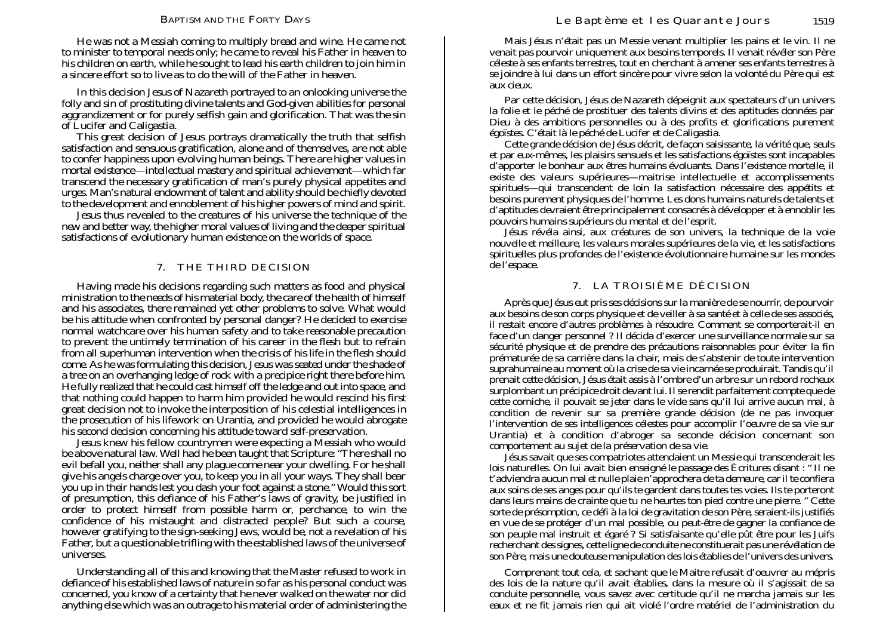He was not a Messiah coming to multiply bread and wine. He came not to minister to temporal needs only; he came to reveal his Father in heaven to his children on earth, while he sought to lead his earth children to join him in a sincere effort so to live as to do the will of the Father in heaven.

In this decision Jesus of Nazareth portrayed to an onlooking universe the folly and sin of prostituting divine talents and God-given abilities for personal aggrandizement or for purely selfish gain and glorification. That was the sin of Lucifer and Caligastia.

This great decision of Jesus portrays dramatically the truth that selfish satisfaction and sensuous gratification, alone and of themselves, are not able to confer happiness upon evolving human beings. There are higher values in mortal existence—intellectual mastery and spiritual achievement—which far transcend the necessary gratification of man's purely physical appetites and urges. Man's natural endowment of talent and ability should be chiefly devoted to the development and ennoblement of his higher powers of mind and spirit.

Jesus thus revealed to the creatures of his universe the technique of the new and better way, the higher moral values of living and the deeper spiritual satisfactions of evolutionary human existence on the worlds of space.

# 7. THE THIRD DECISION

Having made his decisions regarding such matters as food and physical ministration to the needs of his material body, the care of the health of himself and his associates, there remained yet other problems to solve. What would be his attitude when confronted by personal danger? He decided to exercise normal watchcare over his human safety and to take reasonable precaution to prevent the untimely termination of his career in the flesh but to refrain from all superhuman intervention when the crisis of his life in the flesh should come. As he was formulating this decision, Jesus was seated under the shade of a tree on an overhanging ledge of rock with a precipice right there before him. He fully realized that he could cast himself off the ledge and out into space, and that nothing could happen to harm him provided he would rescind his first great decision not to invoke the interposition of his celestial intelligences in the prosecution of his lifework on Urantia, and provided he would abrogate his second decision concerning his attitude toward self-preservation.

Jesus knew his fellow countrymen were expecting a Messiah who would be above natural law. Well had he been taught that Scripture: "There shall no evil befall you, neither shall any plague come near your dwelling. For he shall give his angels charge over you, to keep you in all your ways. They shall bear you up in their hands lest you dash your foot against a stone." Would this sort of presumption, this defiance of his Father's laws of gravity, be justified in order to protect himself from possible harm or, perchance, to win the confidence of his mistaught and distracted people? But such a course, however gratifying to the sign-seeking Jews, would be, not a revelation of his Father, but a questionable trifling with the established laws of the universe of universes.

Understanding all of this and knowing that the Master refused to work in defiance of his established laws of nature in so far as his personal conduct was concerned, you know of a certainty that he never walked on the water nor did anything else which was an outrage to his material order of administering the

Mais Jésus n'était pas un Messie venant multiplier les pains et le vin. Il ne venait pas pourvoir uniquement aux besoins temporels. Il venait révéler son Père céleste à ses enfants terrestres, tout en cherchant à amener ses enfants terrestres à se joindre à lui dans un effort sincère pour vivre selon la volonté du Père qui est aux cieux.

Par cette décision, Jésus de Nazareth dépeignit aux spectateurs d'un univers la folie et le péché de prostituer des talents divins et des aptitudes données par Dieu à des ambitions personnelles ou à des profits et glorifications purement égoïstes. C'était là le péché de Lucifer et de Caligastia.

Cette grande décision de Jésus décrit, de façon saisissante, la vérité que, seuls et par eux-mêmes, les plaisirs sensuels et les satisfactions égoïstes sont incapables d'apporter le bonheur aux êtres humains évoluants. Dans l'existence mortelle, il existe des valeurs supérieures—maitrise intellectuelle et accomplissements spirituels—qui transcendent de loin la satisfaction nécessaire des appétits et besoins purement physiques de l'homme. Les dons humains naturels de talents et d'aptitudes devraient être principalement consacrés à développer et à ennoblir les pouvoirs humains supérieurs du mental et de l'esprit.

Jésus révéla ainsi, aux créatures de son univers, la technique de la voie nouvelle et meilleure, les valeurs morales supérieures de la vie, et les satisfactions spirituelles plus profondes de l'existence évolutionnaire humaine sur les mondes de l'espace.

# 7. LA TROISIÈME DÉCISION

Après que Jésus eut pris ses décisions sur la manière de se nourrir, de pourvoir aux besoins de son corps physique et de veiller à sa santé et à celle de ses associés, il restait encore d'autres problèmes à résoudre. Comment se comporterait-il en face d'un danger personnel ? Il décida d'exercer une surveillance normale sur sa sécurité physique et de prendre des précautions raisonnables pour éviter la fin prématurée de sa carrière dans la chair, mais de s'abstenir de toute intervention suprahumaine au moment où la crise de sa vie incarnée se produirait. Tandis qu'il prenait cette décision, Jésus était assis à l'ombre d'un arbre sur un rebord rocheux surplombant un précipice droit devant lui. Il se rendit parfaitement compte que de cette corniche, il pouvait se jeter dans le vide sans qu'il lui arrive aucun mal, à condition de revenir sur sa première grande décision (de ne pas invoquer l'intervention de ses intelligences célestes pour accomplir l'oeuvre de sa vie sur Urantia) et à condition d'abroger sa seconde décision concernant son comportement au sujet de la préservation de sa vie.

Jésus savait que ses compatriotes attendaient un Messie qui transcenderait les lois naturelles. On lui avait bien enseigné le passage des Écritures disant : " Il ne t'adviendra aucun mal et nulle plaie n'approchera de ta demeure, car il te confiera aux soins de ses anges pour qu'ils te gardent dans toutes tes voies. Ils te porteront dans leurs mains de crainte que tu ne heurtes ton pied contre une pierre. " Cette sorte de présomption, ce défi à la loi de gravitation de son Père, seraient-ils justifiés en vue de se protéger d'un mal possible, ou peut-être de gagner la confiance de son peuple mal instruit et égaré ? Si satisfaisante qu'elle pût être pour les Juifs recherchant des signes, cette ligne de conduite ne constituerait pas une révélation de son Père, mais une douteuse manipulation des lois établies de l'univers des univers.

Comprenant tout cela, et sachant que le Maitre refusait d'oeuvrer au mépris des lois de la nature qu'il avait établies, dans la mesure où il s'agissait de sa conduite personnelle, vous savez avec certitude qu'il ne marcha jamais sur les eaux et ne fit jamais rien qui ait violé l'ordre matériel de l'administration du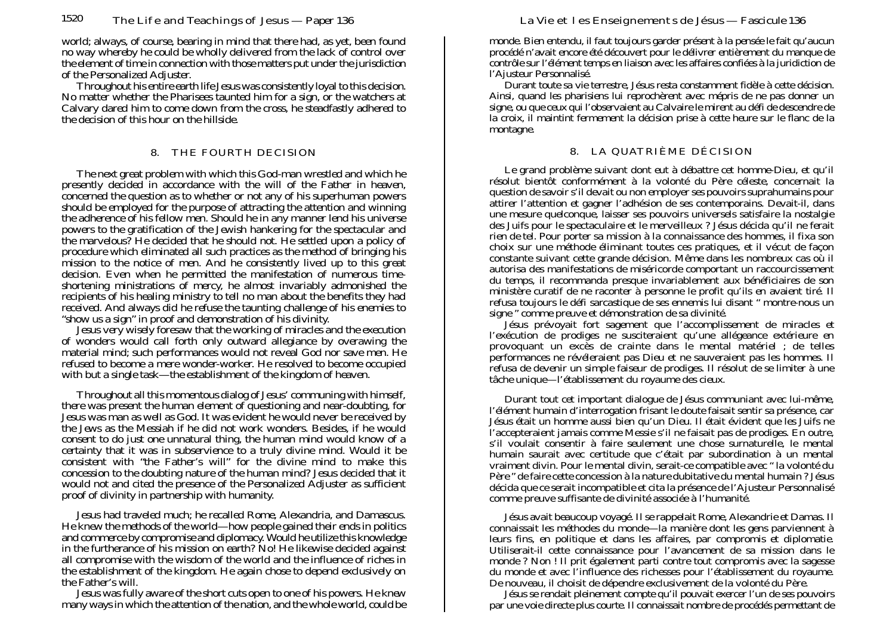world; always, of course, bearing in mind that there had, as yet, been found no way whereby he could be wholly delivered from the lack of control over the element of time in connection with those matters put under the jurisdiction of the Personalized Adjuster.

Throughout his entire earth life Jesus was consistently loyal to this decision. No matter whether the Pharisees taunted him for a sign, or the watchers at Calvary dared him to come down from the cross, he steadfastly adhered to the decision of this hour on the hillside.

### 8. THE FOURTH DECISION

The next great problem with which this God-man wrestled and which he presently decided in accordance with the will of the Father in heaven, concerned the question as to whether or not any of his superhuman powers should be employed for the purpose of attracting the attention and winning the adherence of his fellow men. Should he in any manner lend his universe powers to the gratification of the Jewish hankering for the spectacular and the marvelous? He decided that he should not. He settled upon a policy of procedure which eliminated all such practices as the method of bringing his mission to the notice of men. And he consistently lived up to this great decision. Even when he permitted the manifestation of numerous timeshortening ministrations of mercy, he almost invariably admonished the recipients of his healing ministry to tell no man about the benefits they had received. And always did he refuse the taunting challenge of his enemies to "show us a sign" in proof and demonstration of his divinity.

Jesus very wisely foresaw that the working of miracles and the execution of wonders would call forth only outward allegiance by overawing the material mind; such performances would not reveal God nor save men. He refused to become a mere wonder-worker. He resolved to become occupied with but a single task—the establishment of the kingdom of heaven.

Throughout all this momentous dialog of Jesus' communing with himself, there was present the human element of questioning and near-doubting, for Jesus was man as well as God. It was evident he would never be received by the Jews as the Messiah if he did not work wonders. Besides, if he would consent to do just one unnatural thing, the human mind would know of a certainty that it was in subservience to a truly divine mind. Would it be consistent with "the Father's will" for the divine mind to make this concession to the doubting nature of the human mind? Jesus decided that it would not and cited the presence of the Personalized Adjuster as sufficient proof of divinity in partnership with humanity.

Jesus had traveled much; he recalled Rome, Alexandria, and Damascus. He knew the methods of the world—how people gained their ends in politics and commerce by compromise and diplomacy. Would he utilize this knowledge in the furtherance of his mission on earth? No! He likewise decided against all compromise with the wisdom of the world and the influence of riches in the establishment of the kingdom. He again chose to depend exclusively on the Father's will.

Jesus was fully aware of the short cuts open to one of his powers. He knew many ways in which the attention of the nation, and the whole world, could be monde. Bien entendu, il faut toujours garder présent à la pensée le fait qu'aucun procédé n'avait encore été découvert pour le délivrer entièrement du manque de contrôle sur l'élément temps en liaison avec les affaires confiées à la juridiction de l'Ajusteur Personnalisé.

Durant toute sa vie terrestre, Jésus resta constamment fidèle à cette décision. Ainsi, quand les pharisiens lui reprochèrent avec mépris de ne pas donner un signe, ou que ceux qui l'observaient au Calvaire le mirent au défi de descendre de la croix, il maintint fermement la décision prise à cette heure sur le flanc de la montagne.

# 8. LA QUATRIÈME DÉCISION

Le grand problème suivant dont eut à débattre cet homme-Dieu, et qu'il résolut bientôt conformément à la volonté du Père céleste, concernait la question de savoir s'il devait ou non employer ses pouvoirs suprahumains pour attirer l'attention et gagner l'adhésion de ses contemporains. Devait-il, dans une mesure quelconque, laisser ses pouvoirs universels satisfaire la nostalgie des Juifs pour le spectaculaire et le merveilleux ? Jésus décida qu'il ne ferait rien de tel. Pour porter sa mission à la connaissance des hommes, il fixa son choix sur une méthode éliminant toutes ces pratiques, et il vécut de façon constante suivant cette grande décision. Même dans les nombreux cas où il autorisa des manifestations de miséricorde comportant un raccourcissement du temps, il recommanda presque invariablement aux bénéficiaires de son ministère curatif de ne raconter à personne le profit qu'ils en avaient tiré. Il refusa toujours le défi sarcastique de ses ennemis lui disant " montre-nous un signe " comme preuve et démonstration de sa divinité.

Jésus prévoyait fort sagement que l'accomplissement de miracles et l'exécution de prodiges ne susciteraient qu'une allégeance extérieure en provoquant un excès de crainte dans le mental matériel ; de telles performances ne révéleraient pas Dieu et ne sauveraient pas les hommes. Il refusa de devenir un simple faiseur de prodiges. Il résolut de se limiter à une tâche unique—l'établissement du royaume des cieux.

Durant tout cet important dialogue de Jésus communiant avec lui-même, l'élément humain d'interrogation frisant le doute faisait sentir sa présence, car Jésus était un homme aussi bien qu'un Dieu. Il était évident que les Juifs ne l'accepteraient jamais comme Messie s'il ne faisait pas de prodiges. En outre, s'il voulait consentir à faire seulement une chose surnaturelle, le mental humain saurait avec certitude que c'était par subordination à un mental vraiment divin. Pour le mental divin, serait-ce compatible avec " la volonté du Père " de faire cette concession à la nature dubitative du mental humain ? Jésus décida que ce serait incompatible et cita la présence de l'Ajusteur Personnalisé comme preuve suffisante de divinité associée à l'humanité.

Jésus avait beaucoup voyagé. Il se rappelait Rome, Alexandrie et Damas. Il connaissait les méthodes du monde—la manière dont les gens parviennent à leurs fins, en politique et dans les affaires, par compromis et diplomatie. Utiliserait-il cette connaissance pour l'avancement de sa mission dans le monde ? Non ! Il prit également parti contre tout compromis avec la sagesse du monde et avec l'influence des richesses pour l'établissement du royaume. De nouveau, il choisit de dépendre exclusivement de la volonté du Père.

Jésus se rendait pleinement compte qu'il pouvait exercer l'un de ses pouvoirs par une voie directe plus courte. Il connaissait nombre de procédés permettant de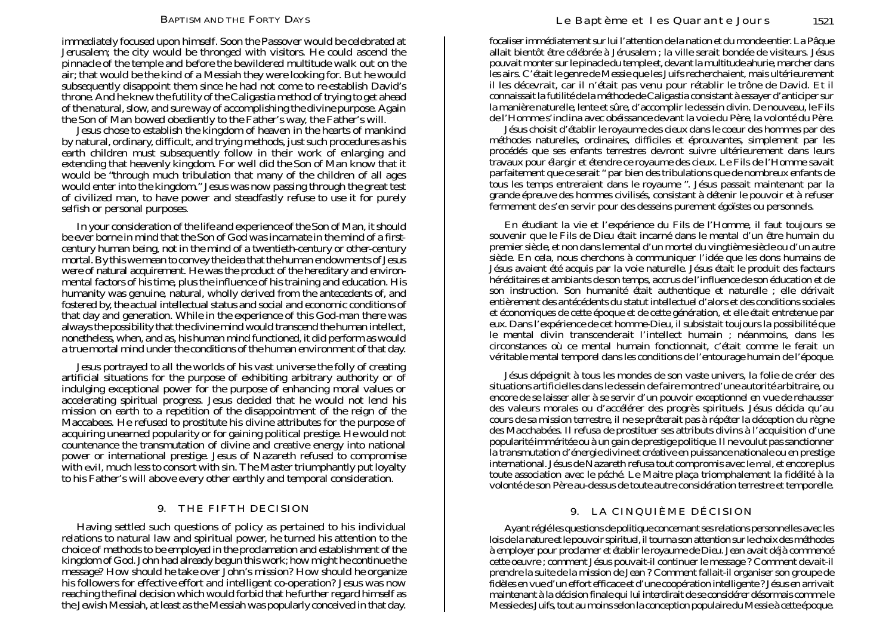immediately focused upon himself. Soon the Passover would be celebrated at Jerusalem; the city would be thronged with visitors. He could ascend the pinnacle of the temple and before the bewildered multitude walk out on the air; that would be the kind of a Messiah they were looking for. But he would subsequently disappoint them since he had not come to re-establish David's throne. And he knew the futility of the Caligastia method of trying to get ahead of the natural, slow, and sure way of accomplishing the divine purpose. Again the Son of Man bowed obediently to the Father's way, the Father's will.

Jesus chose to establish the kingdom of heaven in the hearts of mankind by natural, ordinary, difficult, and trying methods, just such procedures as his earth children must subsequently follow in their work of enlarging and extending that heavenly kingdom. For well did the Son of Man know that it would be "through much tribulation that many of the children of all ages would enter into the kingdom." Jesus was now passing through the great test of civilized man, to have power and steadfastly refuse to use it for purely selfish or personal purposes.

In your consideration of the life and experience of the Son of Man, it should be ever borne in mind that the Son of God was incarnate in the mind of a firstcentury human being, not in the mind of a twentieth-century or other-century mortal. By this we mean to convey the idea that the human endowments of Jesus were of natural acquirement. He was the product of the hereditary and environmental factors of his time, plus the influence of his training and education. His humanity was genuine, natural, wholly derived from the antecedents of, and fostered by, the actual intellectual status and social and economic conditions of that day and generation. While in the experience of this God-man there was always the possibility that the divine mind would transcend the human intellect, nonetheless, when, and as, his human mind functioned, it did perform as would a true mortal mind under the conditions of the human environment of that day.

Jesus portrayed to all the worlds of his vast universe the folly of creating artificial situations for the purpose of exhibiting arbitrary authority or of indulging exceptional power for the purpose of enhancing moral values or accelerating spiritual progress. Jesus decided that he would not lend his mission on earth to a repetition of the disappointment of the reign of the Maccabees. He refused to prostitute his divine attributes for the purpose of acquiring unearned popularity or for gaining political prestige. He would not countenance the transmutation of divine and creative energy into national power or international prestige. Jesus of Nazareth refused to compromise with *evil*, much less to consort with sin. The Master triumphantly put loyalty to his Father's will above every other earthly and temporal consideration.

# 9. THE FIFTH DECISION

Having settled such questions of policy as pertained to his individual relations to natural law and spiritual power, he turned his attention to the choice of methods to be employed in the proclamation and establishment of the kingdom of God. John had already begun this work; how might he continue the message? How should he take over John's mission? How should he organize his followers for effective effort and intelligent co-operation? Jesus was now reaching the final decision which would forbid that he further regard himself as the Jewish Messiah, at least as the Messiah was popularly conceived in that day. focaliser immédiatement sur lui l'attention de la nation et du monde entier. La Pâque allait bientôt être célébrée à Jérusalem ; la ville serait bondée de visiteurs. Jésus pouvait monter sur le pinacle du temple et, devant la multitude ahurie, marcher dans les airs. C'était le genre de Messie que les Juifs recherchaient, mais ultérieurement il les décevrait, car il n'était pas venu pour rétablir le trône de David. Et il connaissait la futilité de la méthode de Caligastia consistant à essayer d'anticiper sur la manière naturelle, lente et sûre, d'accomplir le dessein divin. De nouveau, le Fils de l'Homme s'inclina avec obéissance devant la voie du Père, la volonté du Père.

Jésus choisit d'établir le royaume des cieux dans le coeur des hommes par des méthodes naturelles, ordinaires, difficiles et éprouvantes, simplement par les procédés que ses enfants terrestres devront suivre ultérieurement dans leurs travaux pour élargir et étendre ce royaume des cieux. Le Fils de l'Homme savait parfaitement que ce serait " par bien des tribulations que de nombreux enfants de tous les temps entreraient dans le royaume ". Jésus passait maintenant par la grande épreuve des hommes civilisés, consistant à détenir le pouvoir et à refuser fermement de s'en servir pour des desseins purement égoïstes ou personnels.

En étudiant la vie et l'expérience du Fils de l'Homme, il faut toujours se souvenir que le Fils de Dieu était incarné dans le mental d'un être humain du premier siècle, et non dans le mental d'un mortel du vingtième siècle ou d'un autre siècle. En cela, nous cherchons à communiquer l'idée que les dons humains de Jésus avaient été acquis par la voie naturelle. Jésus était le produit des facteurs héréditaires et ambiants de son temps, accrus de l'influence de son éducation et de son instruction. Son humanité était authentique et naturelle ; elle dérivait entièrement des antécédents du statut intellectuel d'alors et des conditions sociales et économiques de cette époque et de cette génération, et elle était entretenue par eux. Dans l'expérience de cet homme-Dieu, il subsistait toujours la possibilité que le mental divin transcenderait l'intellect humain ; néanmoins, dans les circonstances où ce mental humain fonctionnait, c'était comme le ferait un véritable mental temporel dans les conditions de l'entourage humain de l'époque.

Jésus dépeignit à tous les mondes de son vaste univers, la folie de créer des situations artificielles dans le dessein de faire montre d'une autorité arbitraire, ou encore de se laisser aller à se servir d'un pouvoir exceptionnel en vue de rehausser des valeurs morales ou d'accélérer des progrès spirituels. Jésus décida qu'au cours de sa mission terrestre, il ne se prêterait pas à répéter la déception du règne des Macchabées. Il refusa de prostituer ses attributs divins à l'acquisition d'une popularité imméritée ou à un gain de prestige politique. Il ne voulut pas sanctionner la transmutation d'énergie divine et créative en puissance nationale ou en prestige international. Jésus de Nazareth refusa tout compromis avec *le mal,* et encore plus toute association avec le péché. Le Maitre plaça triomphalement la fidélité à la volonté de son Père au-dessus de toute autre considération terrestre et temporelle.

# 9. LA CINQUIÈME DÉCISION

Ayant réglé les questions de politique concernant ses relations personnelles avec les lois de la nature et le pouvoir spirituel, il tourna son attention sur le choix des méthodes à employer pour proclamer et établir le royaume de Dieu. Jean avait déjà commencé cette oeuvre ; comment Jésus pouvait-il continuer le message ? Comment devait-il prendre la suite de la mission de Jean ? Comment fallait-il organiser son groupe de fidèles en vue d'un effort efficace et d'une coopération intelligente ? Jésus en arrivait maintenant à la décision finale qui lui interdirait de se considérer désormais comme le Messie des Juifs, tout au moins selon la conception populaire du Messie à cette époque.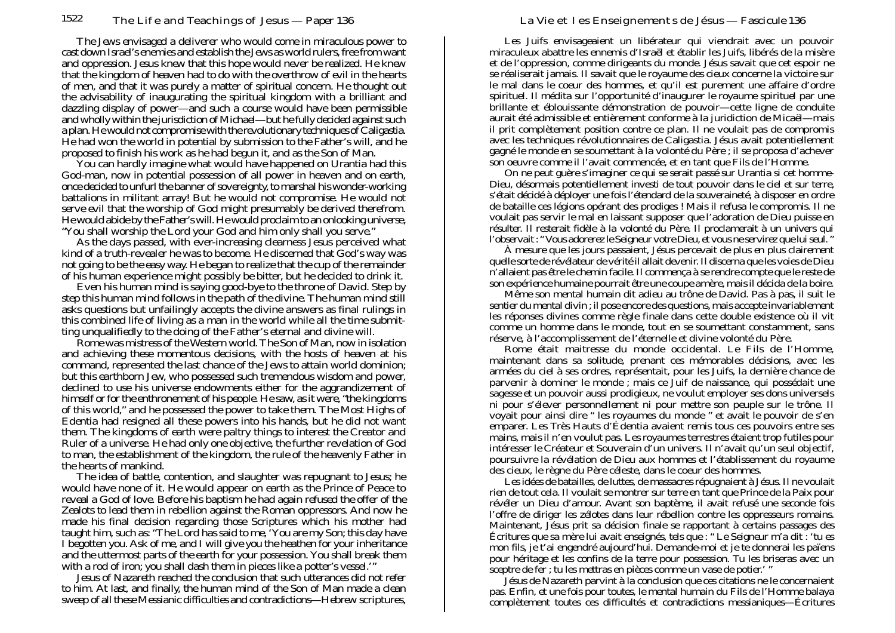The Jews envisaged a deliverer who would come in miraculous power to cast down Israel's enemies and establish the Jews as world rulers, free from want and oppression. Jesus knew that this hope would never be realized. He knew that the kingdom of heaven had to do with the overthrow of evil in the hearts of men, and that it was purely a matter of spiritual concern. He thought out the advisability of inaugurating the spiritual kingdom with a brilliant and dazzling display of power—and such a course would have been permissible and wholly within the jurisdiction of Michael—but he fully decided against such a plan. He would not compromise with the revolutionary techniques of Caligastia. He had won the world in potential by submission to the Father's will, and he proposed to finish his work as he had begun it, and as the Son of Man.

You can hardly imagine what would have happened on Urantia had this God-man, now in potential possession of all power in heaven and on earth, once decided to unfurl the banner of sovereignty, to marshal his wonder-working battalions in militant array! But he would not compromise. He would not serve evil that the worship of God might presumably be derived therefrom. He would abide by the Father's will. He would proclaim to an onlooking universe, "You shall worship the Lord your God and him only shall you serve."

As the days passed, with ever-increasing clearness Jesus perceived what kind of a truth-revealer he was to become. He discerned that God's way was not going to be the easy way. He began to realize that the cup of the remainder of his human experience might possibly be bitter, but he decided to drink it.

Even his human mind is saying good-bye to the throne of David. Step by step this human mind follows in the path of the divine. The human mind still asks questions but unfailingly accepts the divine answers as final rulings in this combined life of living as a man in the world while all the time submitting unqualifiedly to the doing of the Father's eternal and divine will.

Rome was mistress of the Western world. The Son of Man, now in isolation and achieving these momentous decisions, with the hosts of heaven at his command, represented the last chance of the Jews to attain world dominion; but this earthborn Jew, who possessed such tremendous wisdom and power, declined to use his universe endowments either for the aggrandizement of himself or for the enthronement of his people. He saw, as it were, "the kingdoms of this world," and he possessed the power to take them. The Most Highs of Edentia had resigned all these powers into his hands, but he did not want them. The kingdoms of earth were paltry things to interest the Creator and Ruler of a universe. He had only one objective, the further revelation of God to man, the establishment of the kingdom, the rule of the heavenly Father in the hearts of mankind.

The idea of battle, contention, and slaughter was repugnant to Jesus; he would have none of it. He would appear on earth as the Prince of Peace to reveal a God of love. Before his baptism he had again refused the offer of the Zealots to lead them in rebellion against the Roman oppressors. And now he made his final decision regarding those Scriptures which his mother had taught him, such as: "The Lord has said to me, 'You are my Son; this day have I begotten you. Ask of me, and I will give you the heathen for your inheritance and the uttermost parts of the earth for your possession. You shall break them with a rod of iron; you shall dash them in pieces like a potter's vessel.'"

Jesus of Nazareth reached the conclusion that such utterances did not refer to him. At last, and finally, the human mind of the Son of Man made a clean sweep of all these Messianic difficulties and contradictions—Hebrew scriptures,

Les Juifs envisageaient un libérateur qui viendrait avec un pouvoir miraculeux abattre les ennemis d'Israël et établir les Juifs, libérés de la misère et de l'oppression, comme dirigeants du monde. Jésus savait que cet espoir ne se réaliserait jamais. Il savait que le royaume des cieux concerne la victoire sur le mal dans le coeur des hommes, et qu'il est purement une affaire d'ordre spirituel. Il médita sur l'opportunité d'inaugurer le royaume spirituel par une brillante et éblouissante démonstration de pouvoir—cette ligne de conduite aurait été admissible et entièrement conforme à la juridiction de Micaël—mais il prit complètement position contre ce plan. Il ne voulait pas de compromis avec les techniques révolutionnaires de Caligastia. Jésus avait potentiellement gagné le monde en se soumettant à la volonté du Père ; il se proposa d'achever son oeuvre comme il l'avait commencée, et en tant que Fils de l'Homme.

On ne peut guère s'imaginer ce qui se serait passé sur Urantia si cet homme-Dieu, désormais potentiellement investi de tout pouvoir dans le ciel et sur terre, s'était décidé à déployer une fois l'étendard de la souveraineté, à disposer en ordre de bataille ces légions opérant des prodiges ! Mais il refusa le compromis. Il ne voulait pas servir le mal en laissant supposer que l'adoration de Dieu puisse en résulter. Il resterait fidèle à la volonté du Père. Il proclamerait à un univers qui

l'observait : " Vous adorerez le Seigneur votre Dieu, et vous ne servirez que lui seul. " À mesure que les jours passaient, Jésus percevait de plus en plus clairement quelle sorte de révélateur de vérité il allait devenir. Il discerna que les voies de Dieu n'allaient pas être le chemin facile. Il commença à se rendre compte que le reste de son expérience humaine pourrait être une coupe amère, mais il décida de la boire.

Même son mental humain dit adieu au trône de David. Pas à pas, il suit le sentier du mental divin ; il pose encore des questions, mais accepte invariablement les réponses divines comme règle finale dans cette double existence où il vit comme un homme dans le monde, tout en se soumettant constamment, sans réserve, à l'accomplissement de l'éternelle et divine volonté du Père.

Rome était maitresse du monde occidental. Le Fils de l'Homme, maintenant dans sa solitude, prenant ces mémorables décisions, avec les armées du ciel à ses ordres, représentait, pour les Juifs, la dernière chance de parvenir à dominer le monde ; mais ce Juif de naissance, qui possédait une sagesse et un pouvoir aussi prodigieux, ne voulut employer ses dons universels ni pour s'élever personnellement ni pour mettre son peuple sur le trône. Il voyait pour ainsi dire " les royaumes du monde " et avait le pouvoir de s'en emparer. Les Très Hauts d'Édentia avaient remis tous ces pouvoirs entre ses mains, mais il n'en voulut pas. Les royaumes terrestres étaient trop futiles pour intéresser le Créateur et Souverain d'un univers. Il n'avait qu'un seul objectif, poursuivre la révélation de Dieu aux hommes et l'établissement du royaume des cieux, le règne du Père céleste, dans le coeur des hommes.

Les idées de batailles, de luttes, de massacres répugnaient à Jésus. Il ne voulait rien de tout cela. Il voulait se montrer sur terre en tant que Prince de la Paix pour révéler un Dieu d'amour. Avant son baptème, il avait refusé une seconde fois l'offre de diriger les zélotes dans leur rébellion contre les oppresseurs romains. Maintenant, Jésus prit sa décision finale se rapportant à certains passages des<br>Écritures que sa mère lui avait enseignés, tels que : " Le Seigneur m'a dit : 'tu es mon fils, je t'ai engendré aujourd'hui. Demande-moi et je te donnerai les païens pour héritage et les confins de la terre pour possession. Tu les briseras avec un sceptre de fer ; tu les mettras en pièces comme un vase de potier.' "

Jésus de Nazareth parvint à la conclusion que ces citations ne le concernaient pas. Enfin, et une fois pour toutes, le mental humain du Fils de l'Homme balaya complètement toutes ces difficultés et contradictions messianiques—Écritures